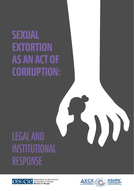# **SEXUAL EXTORTION AS AN ACT OF CORRUPTION:**

# LEGAL AND INSTITUTIONAL RESPONSE



OSCE Sco-operation for Security and

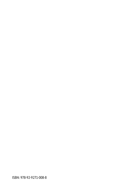ISBN: 978-92-9271-008-8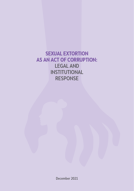**SEXUAL EXTORTION AS AN ACT OF CORRUPTION:** LEGAL AND INSTITUTIONAL RESPONSE

December 2021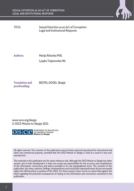

**TITLE:** Sexual Extortion as an Act of Corruption: Legal and Institutional Response

**Authors:** Marija Risteska PhD. Ljupka Trajanovska MA

**Translation and proofreading:**

BESTEL DOOEL Skopje

www.osce.org/skopje © OSCE Mission to Skopje 2021



OSCE Scoperation for Security and

All rights reserved. The contents of this publication may be freely used and reproduced for educational and other non-commercial purposes, provided that the OSCE Mission to Skopje is cited as a source in any such reproduction.

The materials in this publication are for easier reference only. Although the OSCE Mission to Skopje has taken utmost care in their development, it does not accept any responsibility for the accuracy and completeness of the information, instructions and advice provided or for any typographical errors. The contents of this publication, the views, opinions, findings, interpretations and conclusions expressed herein do not necessarily reflect the official policy or position of the OSCE. For these reasons, there can be no claims filed against the OSCE regarding the potential consequences of relying on the information and conclusions contained in this publication.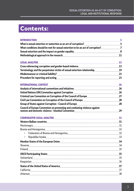## Contents:

| <b>INTRODUCTION</b>                                                                                                                                                                                                            |    |
|--------------------------------------------------------------------------------------------------------------------------------------------------------------------------------------------------------------------------------|----|
|                                                                                                                                                                                                                                |    |
| What conditions should be met for sexual extortion to be an act of corruption?7                                                                                                                                                |    |
|                                                                                                                                                                                                                                |    |
| Methodological approach in the research manual content content and all all all and the research manual content                                                                                                                 |    |
|                                                                                                                                                                                                                                |    |
| LEGAL ANALYSIS 23                                                                                                                                                                                                              |    |
|                                                                                                                                                                                                                                |    |
|                                                                                                                                                                                                                                |    |
|                                                                                                                                                                                                                                |    |
| Procedure for reporting and acting <b>Election Controller and Action</b> 23                                                                                                                                                    |    |
| INTERNATIONAL CONTEXT Executional context and a set of the set of the set of the set of the set of the set of t                                                                                                                |    |
|                                                                                                                                                                                                                                |    |
|                                                                                                                                                                                                                                |    |
|                                                                                                                                                                                                                                |    |
|                                                                                                                                                                                                                                |    |
|                                                                                                                                                                                                                                |    |
| Council of Europe Convention on preventing and combating violence against                                                                                                                                                      |    |
|                                                                                                                                                                                                                                | 29 |
| COMPARATIVE LEGAL ANALYSIS MARKET AND AND THE STATE STATE AND STATE AND STATE AND STATE AND STATE AND STATE AN                                                                                                                 |    |
| Western Balkan countries Electron Countries 21                                                                                                                                                                                 |    |
| Montenegro matematica mentionalism and all proportional contracts and all proportional mentions and all matematic mentions and all proportions and all proportions and all proportions and all proportions and all proportions |    |
|                                                                                                                                                                                                                                |    |
|                                                                                                                                                                                                                                |    |
|                                                                                                                                                                                                                                |    |
|                                                                                                                                                                                                                                |    |
|                                                                                                                                                                                                                                |    |
|                                                                                                                                                                                                                                |    |
|                                                                                                                                                                                                                                |    |
|                                                                                                                                                                                                                                |    |
|                                                                                                                                                                                                                                |    |
|                                                                                                                                                                                                                                |    |
|                                                                                                                                                                                                                                |    |
|                                                                                                                                                                                                                                |    |
|                                                                                                                                                                                                                                |    |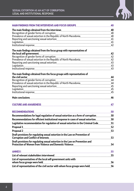

| MAIN FINDINGS FROM THE INTERVIEWS AND FOCUS GROUPS <b>COMPLETED ASSESS</b>                                                                                   | 40          |  |  |
|--------------------------------------------------------------------------------------------------------------------------------------------------------------|-------------|--|--|
| The main findings obtained from the interviews with an announcement and the main findings obtained from the interviews with an announcement and the main flo |             |  |  |
|                                                                                                                                                              |             |  |  |
|                                                                                                                                                              |             |  |  |
|                                                                                                                                                              |             |  |  |
|                                                                                                                                                              |             |  |  |
|                                                                                                                                                              |             |  |  |
| The main findings obtained from the focus group with representatives of                                                                                      |             |  |  |
|                                                                                                                                                              | 42          |  |  |
|                                                                                                                                                              |             |  |  |
|                                                                                                                                                              |             |  |  |
|                                                                                                                                                              |             |  |  |
|                                                                                                                                                              |             |  |  |
|                                                                                                                                                              |             |  |  |
| The main findings obtained from the focus groups with representatives of                                                                                     |             |  |  |
|                                                                                                                                                              |             |  |  |
|                                                                                                                                                              |             |  |  |
|                                                                                                                                                              |             |  |  |
|                                                                                                                                                              |             |  |  |
|                                                                                                                                                              |             |  |  |
|                                                                                                                                                              | 46          |  |  |
| CULTURE AND AWARENESS ENTERTAINMENT AND THE RESERVE AND ARREST AND THE RESERVE AND ARRENESS ENTERTAINMENT AND                                                | 47          |  |  |
| <b>RECOMMENDATIONS</b>                                                                                                                                       | 50          |  |  |
| Recommendations for legal regulation of sexual extortion as a form of corruption mass assequently 50                                                         |             |  |  |
| Recommendations for efficient institutional response in cases of sexual extortion50                                                                          |             |  |  |
| Legislative recommendation for regulation of sexual extortion in the Criminal Code                                                                           | $\ldots$ 51 |  |  |
|                                                                                                                                                              |             |  |  |
|                                                                                                                                                              |             |  |  |
| Draft provisions for regulating sexual extortion in the Law on Prevention of                                                                                 |             |  |  |
|                                                                                                                                                              | 53          |  |  |
| Draft provisions for regulating sexual extortion in the Law on Prevention and                                                                                | 54          |  |  |
|                                                                                                                                                              |             |  |  |
|                                                                                                                                                              |             |  |  |
| List of relevant stakeholders interviewed with an announcemman contract to the state of relevant stakeholders                                                |             |  |  |
| List of representatives of the local self-government units with                                                                                              |             |  |  |
|                                                                                                                                                              | 56          |  |  |
| List of representatives of the civil sector with whom focus groups were held                                                                                 | 56          |  |  |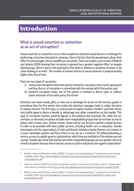## Introduction

## **What is sexual extortion or sextortion as an act of corruption?**

Sexual extortion or sextortion occurs when people are extorted sexual favours in exchange for performing a function entrusted to someone. Due to the fact that the perpetrators abuse their office for personal gain, the act qualifies as corruption. There are studies, such as that of Bullock and Jenkins (2020) showing that corruption in general has a greater negative effect on marginalized groups, which is due to the asymmetry that exists in relation to positions of power in decision-making or at work**<sup>1</sup>** . The number of women victims of sexual extortion is proportionately higher than that of men.

There are two types of corruption:

- **(i)** contractual corruption where the parties involved in corruption have a prior agreement and thus the act of corruption is committed with the mutual will of the parties; and
- **(ii)** extorted corruption where one of the parties is involved in direct, open or indirect, covert extortion of the other party, the victim**<sup>2</sup>** .

Extortion can mean money, gifts, or even sex in exchange for access to the services, goods or procedures that the first person who makes the extortion manages, leads or makes decisions in relation thereto. The first type, or contractual corruption involves "insiders" and their clients who jointly agree to derive a benefit or advantage over other competitors on the market. This type of corruption involves powerful figures in the political and economic life, while the second type, or extorted corruption includes more marginalized groups that do not have access to power, and in many cases, involve women. Some women are forced to perform sexual services in order to be provided with basic public services, including health care or education. Gender stereotypes and the expectations of male and female behaviour based thereon, put women in a more vulnerable position and force them to use sex as a "currency" for bribery/obtaining a service, access to a public good or a job position; which they are entitled to if the system was not corrupt. Studies also show that women and other marginalized groups are at a greater risk of extorted corruption because they have less access to justice and protection against exploitation**<sup>3</sup>** .

**<sup>1</sup>** Bullock, Jessie and Matthew Jenkins (2020). Corruption and marginalization, Transparency international, available online: [https://knowledgehub.transparency.org/assets/uploads/helpdesk/Corruption-and](https://knowledgehub.transparency.org/assets/uploads/helpdesk/Corruption-and-marginalisation.pdf)[marginalisation.pdf](https://knowledgehub.transparency.org/assets/uploads/helpdesk/Corruption-and-marginalisation.pdf)

**<sup>2</sup>** Gabriela Camacho (2020) Corruption and gender equality: A summary of existing research, Transparency international, available online <https://www.u4.no/publications/corruption-and-gender-equality-hd.pdf>

**<sup>3</sup>** Bullock, Jessie and Matthew Jenkins (2020). Corruption and marginalization, Transparency international, available online: [https://knowledgehub.transparency.org/assets/uploads/helpdesk/Corruption-and](https://knowledgehub.transparency.org/assets/uploads/helpdesk/Corruption-and-marginalisation.pdf)[marginalisation.pdf](https://knowledgehub.transparency.org/assets/uploads/helpdesk/Corruption-and-marginalisation.pdf)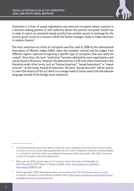

Sextortion is a form of sexual exploitation and extorted corruption where a person in a decision-making position or with authority abuses the position and power he/she has in order to extort an unwanted sexual activity from another person in exchange for the service, good, access to a resource which the former manages, leads or makes decisions in relation thereto**<sup>4</sup>** .

The term sextortion as a form of corruption was first used in 2008 by the International Association of Women Judges (IAWJ), when the members noticed and the judges from different regions reported recognizing a specific type of corruption that was rarely discussed**<sup>5</sup>** . Since then, the term "sextortion" has been adopted by some organizations and can be found in literature. However, the phenomenon is still most often mentioned in the literature under other terms, such as "transactional sex", "sexual harassment" or "sexual services".**<sup>6</sup>** In this study, instead of sextortion, the term "sexual extortion" will be used as it covers the essence of the act and it is a coinage made of terms used in the Macedonian language instead of the foreign word, sextortion.

**<sup>4</sup>** The International Bar Association defines sextortion as the exchange of sex rather than money in order to obtain access to a certain advantage/benefit that the victim of sextortion could have obtained legally, i.e., a benefit to which the victim was entitled (see International Bar Association - IBA. 2019. Sextortion: A crime of corruption and sexual exploitation).

**<sup>5</sup>** Maja Lazarova (2020), Gender Aspects of Corruption with an Overview of the Republic of North Macedonia, OSCE Mission to Skopje, available online: [https://www.osce.org/files/f/](https://www.osce.org/files/f/documents/c/4/480937.pdf) [documents/c/4/480937.pdf](https://www.osce.org/files/f/documents/c/4/480937.pdf)

**<sup>6</sup>** Hazel Feigenblatt (2020), Breaking the silence around sextortion: The links between power, sex and corruption, Transparency International, available online: [https://www.transparency.org/en/publications/](https://www.transparency.org/en/publications/breaking-the-silence-around-sextortion) [breaking-the-silence-around-sextortion](https://www.transparency.org/en/publications/breaking-the-silence-around-sextortion)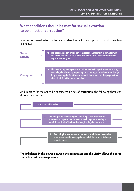## **What conditions should be met for sexual extortion to be an act of corruption?**

In order for sexual extortion to be considered an act of corruption, it should have two elements:

| <b>Sexual</b><br>activity | Includes an implicit or explicit request for engagement in some form of<br>unwanted sexual activity, which may range from sexual intercourse to<br>exposure of body parts                                                                                                    |
|---------------------------|------------------------------------------------------------------------------------------------------------------------------------------------------------------------------------------------------------------------------------------------------------------------------|
| <b>Corruption</b>         | The person requesting sexual activity must be in a position of authority,<br>which he/she abuses by requesting or accepting a sexual act in exchange<br>for performing the function entrusted to him/her - i.e., the perpetrators<br>abuse their function for personal gain. |

And in order for the act to be considered an act of corruption, the following three conditions must be met:



**The imbalance in the power between the perpetrator and the victim allows the perpetrator to exert coercive pressure.**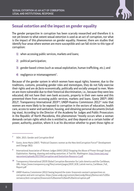

## **Sexual extortion and the impact on gender equality**

The gender perspective in corruption has been scarcely researched and therefore it is not yet known to what extent sexual extortion is used as an act of corruption, nor what is the impact of this phenomenon on gender equality. However, there are studies that identify four areas where women are more susceptible and can fall victim to this type of corruption:

- **1)** when accessing public services, markets and loans;
- **2)** political participation;
- **3)** gender-based crimes (such as sexual exploitation, human trafficking, etc.); and
- **4)** negligence or mismanagement**<sup>7</sup>** .

Because of the gender system in which women have equal rights; however, due to the traditions, customs, prevailing gender roles and stereotypes, they do not fully exercise their rights and are de facto economically, politically and socially unequal to men. Women are more vulnerable due to their historical discrimination, i.e., because they were less educated, did not have their own bank accounts, property in their own name and this prevented them from accessing public services, markets and loans. Goetz 2007**<sup>8</sup>** ; IAWJ 2012**<sup>9</sup>** ; Transparency International 2019**10**; UNDP-Huairou Commission 2012**11** note that women are more likely to be exposed to corruption in the sectors of education, health care, access to water and sanitation, housing, and obtaining personal documents (including visas). According to the Director of the Academy for Judges and Public Prosecutors in the Republic of North Macedonia, this phenomenon "mostly occurs when a woman demands certain rights which she is entitled to, and they depend on a certain holder of power, authority, position, where it is at his discretion whether to grant those rights or

**<sup>11</sup>** UNDP-Huairou Commission (2012) Seeing beyond the state: Grassroots women's perspectives on corruption and anti-corruption, https://www.undp.org/content/dam/undp/library/Democratic%20Go vernance/Anti-corruption/Grassroots%20women%20and%20anticorruption.pdf

**<sup>7</sup>** SIDA. 2015. Gender and Corruption Brief

**<sup>8</sup>** Goetz, Anne Marie (2007). "Political Cleaners: women as the New AntiCorruption Force?" Development and Change 38(1):

**<sup>9</sup>** International Association of Women Judges (IAWJ) (2012) Stopping the Abuse of Power through Sexual Exploitation. Naming, shaming and ending sextortion. A Tool Kit. Washington. [http://www.iawj.org/](http://www.iawj.org/wpcontent/uploads/2017/04/Corruption-and-Sextortion-Resource-1.pdf) [wpcontent/uploads/2017/04/Corruption-and-Sextortion-Resource-1.pdf](http://www.iawj.org/wpcontent/uploads/2017/04/Corruption-and-Sextortion-Resource-1.pdf)

**<sup>10</sup>** Transparency International (2019) Global Corruption Barometer for Latin America and the Caribbean, URL: https://www.transparency.org/files/content/pages/2019\_GCB\_LatinA merica\_Caribbean\_Full\_ Report.pdf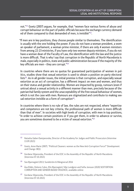not."**12** Goetz (2007) argues, for example, that "women face various forms of abuse and corrupt behaviour on the part of public officials because the exchange currency demanded of them compared to that demanded of men, is invisible"**13**.

"If men are in key positions, they choose people similar to themselves. The identification is usually with the one holding the power. If you do not have a woman president, a woman speaker of parliament, a woman prime minister, if there are only 4 women ministers from among 22-23 ministries, if you have only two women deputy ministers, if you do not have a woman dean of the Faculty of Law, the identification with the law and the justice is more difficult. That is why I say that corruption in the Republic of North Macedonia is male, especially in politics, state and public administration because if the majority of the key officials are men – they are corrupt."**<sup>14</sup>**

In countries where there are no quotas for guaranteed participation of women in politics, studies show that sexual extortion is used to obtain a position on party electoral lists**15**. As in all gender issues, the initial premise is that corruption, and especially sexual extortion as an act of corruption, has a different impact on men and women, and thus on their status and gender relationship. Women are impacted by gossip, rumours (even if untrue) about a sexual activity in a different manner than men, precisely because of the patriarchal family system and the unacceptability of the free sexual behaviour of women, which is not the case with men. Rumours are stigmatized and contribute to making sexual extortion invisible as a form of corruption**16**.

In countries where there is no rule of law, the rules are not respected, where "expertise and competence are not key criteria, the professional path of women is more difficult than that of men". In societies with high levels of corruption, with men in top positions, "in order to achieve certain positions or if you get them, in order to advance or survive, you are sometimes doomed to be a victim of sexual extortion."**<sup>17</sup>**

- **<sup>14</sup>** Gordana Siljanovska, President of the EOC in the Assembly of the Republic of North Macedonia (Interview 07.10.2021)
- **<sup>15</sup>** See Bjarnegård 2013; Sundström & Wängnerud 2016
- **<sup>16</sup>** Åsa Eldén, Dolores Calvo, Elin Bjarnegård, Silje Lundgren and Sofia Jonsson (2020) SEXTORTION: CORRUPTION AND GENDER-BASED VIOLENCE, available online:
- **<sup>17</sup>** Gordana Siljanovska, President of the EOC in the Assembly of the Republic of North Macedonia (Interview 07.10.2021)

**<sup>12</sup>** Natasha Gaber-Damjanovska, Director of the Academy for Judges and Public Prosecutors (Interview 13.09.2021)

**<sup>13</sup>** Goetz, Anne Marie (2007). "Political Cleaners: women as the New Anti-Corruption Force?" Development and Change 38(1):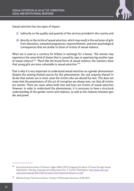

Sexual extortion has two types of impact:

- **(i)** indirectly on the quality and quantity of the services provided in the country and
- **(ii)** directly on the victim of sexual extortion, which may result in the exclusion of girls from education, unwanted pregnancies, impoverishment, and even psychological consequences that are similar to those of victims of sexual violence.

When sex is used as a currency for bribery in exchange for a favour, "the woman may experience the same kind of shame that is caused by rape or experiencing another type of sexual violence"**18**. "Much like the brutal forms of sexual violence, the statistics show that young girls are more vulnerable to sexual extortion."**<sup>19</sup>**

That is why it is very important to understand sexual extortion as a gender phenomenon. Despite the existing limited sources for this phenomenon, the vast majority thereof indicate that women are in most cases the victims who are abused by men. This does not mean that the perpetrators of this act of corruption are always men, nor that all victims are women. There are cases where both men and boys are victims of sexual extortion. However, in order to understand the phenomenon, it is necessary to have a structural understanding of the gender norms and relations, as well as the relations between gender and power.

**<sup>18</sup>** International Association of Women Judges (IAWJ) (2012) Stopping the Abuse of Power through Sexual Exploitation. Naming, shaming and ending sextortion. A Tool Kit. Washington. [http://www.iawj.org/](http://www.iawj.org/wpcontent/uploads/2017/04/Corruption-and-Sextortion-Resource-1.pdf) [wpcontent/uploads/2017/04/Corruption-and-Sextortion-Resource-1.pdf](http://www.iawj.org/wpcontent/uploads/2017/04/Corruption-and-Sextortion-Resource-1.pdf)

**<sup>19</sup>** Nikolina Kenig, Full-time professor, Faculty of Philosophy (Interview 19.08.2021)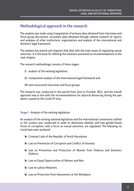## **Methodological approach in the research**

The analysis was made using triangulation of primary data obtained from interviews and focus group discussions, secondary data obtained through cabinet research of reports and analyses of other institutions, organizations and analysis of the international and domestic legal framework.

The analysis has several sub-chapters that deal with the main issues of regulating sexual extortion. It is the basis for defining the solutions presented as recommendations in the next chapter.

The research methodology consists of three stages:

- **(I)** analysis of the existing legislation,
- **(II)** comparative analysis of the international legal framework and
- **(III)** semi-structured interviews and focus groups.

The research was conducted in the period from June to October 2021, and the overall approach was in line with the recommendations for physical distancing during the pandemic caused by the Covid-19 virus.

#### **Stage I** – Analysis of the existing legislation

An analysis of the existing national legislation and the international conventions ratified in the country was conducted in order to determine whether and how gender-based forms of corruption, with a focus on sexual extortion, are regulated. The following national laws were analyzed:

- <sup>1</sup> Criminal Code of the Republic of North Macedonia
- <sup>1</sup> Law on Prevention of Corruption and Conflict of Interests
- <sup>1</sup> Law on Prevention and Protection of Women from Violence and Domestic Violence
- <sup>1</sup> Law on Equal Opportunities of Women and Men
- **Example 20 Law on Labour Relations**
- <sup>1</sup> Law on Protection from Harassment at the Workplace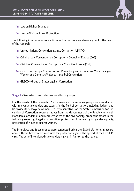- **Example 1** Law on Higher Education
- **EXT** Law on Whistleblower Protection

The following international conventions and initiatives were also analyzed for the needs of the research:

- **EXECUTE:** United Nations Convention against Corruption (UNCAC)
- **EXECT** Criminal Law Convention on Corruption Council of Europe (CoE)
- $\triangle$  Civil Law Convention on Corruption Council of Europe (CoE)
- <sup>1</sup> Council of Europe Convention on Preventing and Combating Violence against Women and Domestic Violence – Istanbul Convention
- $\triangleleft$  GRECO Group of States against Corruption

**Stage II** – Semi-structured interviews and focus groups

For the needs of the research, 16 interviews and three focus groups were conducted with relevant stakeholders and experts in the field of corruption, including judges, public prosecutors, lawyers, women MPs, representatives of the State Commission for Prevention of Corruption, representatives from the Government of the Republic of North Macedonia, academics and representatives of the civil society, prominent actors in the following areas: fight against corruption, protection of human rights, gender equality, prevention of violence against women.

The interviews and focus groups were conducted using the ZOOM platform, in accordance with the Government measures for protection against the spread of the Covid-19 virus. The list of interviewed stakeholders is given in Annex I to the report.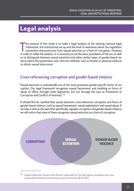## Legal analysis

The purpose of this study is to make a legal analysis of the existing national legal framework, the institutional set-up and the level of awareness about the regulation, prevention and protection from sexual extortion as a he purpose of this study is to make a legal analysis of the existing national legal framework, the institutional set-up and the level of awareness about the regulation, prevention and protection from sexual extortion as a form of corruption. However, as to distinguish between sexual extortion and other similar types of gender-based violence where the perpetrator uses coercive methods, such as threats or physical violence, to obtain sexual intercourse.

### **Cross-referencing corruption and gender-based violence**

"Sexual extortion is undoubtedly one of the most gruesome gender-specific forms of corruption. Our legal framework recognizes sexual harassment and mobbing as forms of abuse of office, through other legislation, but not through the Law on Prevention of Corruption and Conflict of Interests."**<sup>20</sup>**

It should first be clarified that sexual extortion cross-references corruption and forms of gender-based violence, such as sexual harassment, sexual exploitation and sexual abuse. If we take a look at the laws that specifically regulate corruption and gender-based violence, we will notice that none of them recognizes sexual extortion as a form of corruption.



**<sup>20</sup>** Ljupcho Nikolovski, Deputy Prime Minister responsible for the fight against corruption and crime, sustainable development and human resources (Interview 08.10.2021)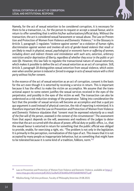

Namely, for the act of sexual extortion to be considered corruption, it is necessary for there to be a transaction, i.e., for the person to request or accept a sexual favour, and in return to offer something that is within his/her authorizations/official duty. Without the transaction, the act is considered sexual harassment or sexual abuse. The Law on Prevention and Protection of Women from Violence and Domestic Violence,**21** in the Glossary in Article 3, paragraph 1 regulates "violence against women" as a violation of human rights, discrimination against women and involves all acts of gender-based violence that result or are likely to result in physical, sexual, psychological or economic harm or suffering of women, including direct and indirect threats and intimidation with such acts, extortion, arbitrary restriction and/or deprivation of liberty, regardless of whether they occur in the public or private life. However, this law fails to regulate the transactional nature of sexual extortion, which makes it possible to define the act of sexual extortion as an act of corruption. Still, Article 3, paragraph 18 distinguishes sexual extortion from sexual violence, which exists even when another person is induced or forced to engage in acts of sexual nature with a third party without his/her consent.

In the essence of the act of sexual extortion as an act of corruption, consent is the basis for the act even though it is extorted by receiving a service in return. This is important because it has the effect to make the victim an accomplice. We assume that the transactional aspect to some extent justifies the sexual services received in the eyes of the perpetrator, and possibly in the eyes of the victim as well. The transaction can also be understood as a risk reduction strategy of the perpetrator. Taking into consideration the fact that the provider of sexual services will become an accomplice and that a quid pro quo argument is used instead of physical coercion, the risk of reporting is minimized. It is therefore important that the Law on Prevention and Protection of Women from Violence and Domestic Violence stipulates that "consent must be expressed voluntarily as a result of the free will of the person, assessed in the context of the circumstances". The assessment from that aspect depends on the will, awareness and readiness of the judges to determine that the act occurred with the abuse of power, official duty or public office, i.e., that the sexual favour is extorted in return for something that the public official was obliged to provide, enable, for exercising a right, etc. "The problem is not only in the legislation. It is primarily in the perception, normalization of this type of act. This means that it is not accepted by many people as inappropriate behaviour, but as something that might have to be tolerated because it is some kind of a tradition, folklore, norm."**<sup>22</sup>**

**<sup>21</sup>** Law on Prevention and Protection of Women from Violence and Domestic Violence, available at [https://](https://www.mtsp.gov.mk/content/pdf/2021/1a28a922f364401e94935d4d694b9d75.pdf) [www.mtsp.gov.mk/content/pdf/2021/1a28a922f364401e94935d4d694b9d75.pdf](https://www.mtsp.gov.mk/content/pdf/2021/1a28a922f364401e94935d4d694b9d75.pdf)

**<sup>22</sup>** Nikolina Kenig, Full-time professor, Faculty of Philosophy (Interview 19.08.2021)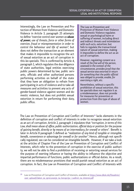Interestingly, the Law on Prevention and Protection of Women from Violence and Domestic Violence in Article 3, paragraph 25 attempts to define "coercive control over women as **abuse of power,** use of threats, force or other forms of coercion, fraud or misrepresentation in order to control the behaviour and life of women", but does not define the transaction as an element that makes it impossible to recognize the act of sexual extortion as an act of corruption in this lex specialis. This is confirmed by Article 4, paragraph 1, which regulates the due diligence of state authorities, legal entities exercising public powers determined by law, public servants, officials and other authorized persons performing activities on behalf of the state that they have an obligation to refrain from participating in acts of violence and to take all measures and activities to prevent any acts of gender-based violence against women and domestic violence, but does not prohibit sexual extortion in return for performing their duty, public office.

The Law on Prevention and Protection of Women from Violence and Domestic Violence regulates sexual or psychological harm or suffering of women, including direct and indirect threats and intimidation with such acts, extortion; but fails to regulate the transactional nature of sexual extortion, making it impossible to define the act as an act of corruption.

However, regulating consent as a result of the free will of the person, assessed in the context of the circumstances, provides proof that the sexual service was extorted in return for something that the public official was obliged to provide, enable, for exercising a right, etc.

Nevertheless, without a specific prohibition of sexual extortion, this lex specialis does not regulate it as a misdemeanour, does not provide for measures for prevention or protection from this type of abuse of women.

The Law on Prevention of Corruption and Conflict of Interests**23** lacks elements in the definition of corruption and conflict of interests in order to recognize sexual extortion as an act of corruption. Article 2, paragraph 1 stipulates that "corruption, in terms of this Law, shall mean abuse of office, public authorization, official duty or position for the purpose of gaining benefit, directly or by means of an intermediary, for oneself or others". Benefit is later in Article 8 paragraph 5 defined as "realization of any kind of tangible or intangible benefit, convenience or advantage for oneself or for another". Hence, although not specifically regulated, sex can be considered an intangible benefit. However, if we take a look at the articles of Chapter Five of the Law on Prevention of Corruption and Conflict of Interests, which refer to the prevention of corruption in the exercise of public authority, we will not be able to find a prohibition of receiving or extorting sexual services for the purpose of exerting influence or having the ability to influence the objective and impartial performance of functions, public authorizations or official duties. As a result, there are no misdemeanour provisions that would punish sexual extortion as an act of corruption. In fact, the Law on Prevention of Corruption and Conflict of Interests with

<sup>&</sup>lt;sup>23</sup> Law on Prevention of Corruption and Conflict of Interests, available at [https://www.dksk.mk/fileadmin/](https://www.dksk.mk/fileadmin/user_upload/Zakon_za_sprecuvanje_na_korupcija_i_sudirot_na_interesi.pdf) user\_upload/Zakon\_za\_sprecuvanie\_na\_korupcija\_i\_sudirot\_na\_interesi.pdf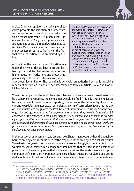

Article 3, which regulates the principle of legality, prevents the initiation of a procedure for prevention of corruption by sexual extortion because paragraph 3 stipulates that "no one can be held liable for corruption except in the cases and under the conditions stipulated by this Law, the Criminal Code and other law, and in a procedure set forth by law", given the fact that sexual extortion is not prohibited by this law.

Article 27 of the Law on Higher Education regulates the right of the student to protect his/ her rights and duties before the bodies of the higher education institutions and protect the personality of the student from abuse, as well

The Law on Prevention of Corruption and Conflict of Interests is written with broad enough terms that cover bribery in intangible form to obtain a convenience, benefit or advantage for oneself or another. However, the lack of a specific prohibition of sexual extortion as an act of corruption leaves too much room for interpretation in the procedure of reporting and proving corruption, sometimes depending on the understanding and the will of the members of the Commission for Protection and Prevention of Corruption and the courts.

as protect his/her dignity. The reporting is done with an authorized person for receiving reports of corruption, which are not determined as forms in Article 107 of the Law on Higher Education.

When this happens in the workplace, the dilemma is often whether if sexual extortion by a supervisor is reported, the complainant would be fired. This is further complicated by the insufficient discretion when reporting. The review of the national legislation that currently partially regulates sexual extortion as a form of corruption shows that the Law on Labour Relations**<sup>24</sup>** regulates the Prohibition of Discrimination in Article 6 on the basis of gender and age, stating that The employer must not treat the job seeker (hereinafter: job applicant) or the employee unequally (paragraph 1); i.e., women and men must be provided equal opportunities and treatment relating to: access to employment, including promotion and vocational and professional training; working conditions; equal pay for equal work; professional social insurance schemes; leave from work, hours of work, and termination of the employment contract (paragraph 2).

In the context of employment, quid pro quo sexual harassment occurs when the benefit or harm of employment is conditioned by the response of the employee to a sexual request. Sexual extortion/sextortion involves the same type of exchange, but is not limited to the workplace. Sexual service in exchange for some benefit that the person in a position of power does not grant or grants – that is the main factor for the existence of a corruption component of sextortion. Harassment and sexual harassment are regulated and prohibited in Article 9 of the Law on Labour Relations and are categorized as discrimination in

**<sup>24</sup>** Law on Labour Relations ("Official Gazette of the Republic of North Macedonia" no. 62/2005; 106/2008; 161/2008; 114/2009; 130/2009; 149/2009; 50/2010; 52/2010; 124/2010; 47/2011; 11/2012; 39/2012; 13/2013; 25/2013; 170/2013; 187/2013; 113/2014; 20/2015; 33/2015; 72/2015; 129/2015 and 27/2016, available online [https://mtsp.gov.mk/content/pdf/trud\\_2017/pravilnici/16,11-%D0%B0%D0%BA%D0%B](https://mtsp.gov.mk/content/pdf/trud_2017/pravilnici/16,11-%D0%B0%D0%BA%D0%BE%D0%BD%D0%A0%D0%B0%D0%B1%D0%9E%D0%B4%D0%BD%D0%BE%D1%81%D0%B8.pdf) [E%D0%BD%D0%A0%D0%B0%D0%B1%D0%9E%D0%B4%D0%BD%D0%BE%D1%81%D0%B8.pdf](https://mtsp.gov.mk/content/pdf/trud_2017/pravilnici/16,11-%D0%B0%D0%BA%D0%BE%D0%BD%D0%A0%D0%B0%D0%B1%D0%9E%D0%B4%D0%BD%D0%BE%D1%81%D0%B8.pdf)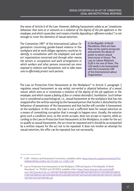the sense of Article 6 of the Law. However, defining harassment solely as an "unwelcome behaviour that aims at or amounts to a violation of the dignity of the job applicant or the employee, and which causes fear and creates a hostile, degrading or offensive conduct"; is not enough to cover the elements of sexual extortion.

The Convention 190**25** of the International Labour Organization concerning gender-based violence in the workplace and at work obliges signatory countries to identify, in consultation with the employees' and workers' organizations concerned and through other means, the sectors or occupations and work arrangements in which workers and other persons concerned are more exposed to violence and harassment; and to take measures to effectively protect such persons.

In the Republic of North Macedonia, there are laws that can be used to prosecute and prevent the abuse of power to extort sexual intercourse or favour. The Law on Labour Relations (LLR) is not one of them. The LLR needs to be harmonized with the Convention 190 of the International Labour Organization.

The Law on Protection from Harassment at the Workplace**26** in Article 5, paragraph 2 regulates sexual harassment as any verbal, non-verbal or physical behaviour of a sexual nature, which aims at or constitutes a violation of the dignity of the job applicant or the employee, and which causes a feeling of fear or creates discomfort, humiliation. Such behaviour is considered as psychological, i.e., sexual harassment at the workplace that has not stopped after the written warning by the harassed person that he/she is disturbed by the behaviour of perpetrator of the harassment and that he/she will consider it harassment at the workplace. In this sense, the Law is not a sufficient basis for sexual extortion as a means of committing corruption that is enough to happen once. Usually, the extorter gives such a condition once, so the victim accepts, does not accept or reports; while according to the Law on Protection from Harassment at the Workplace, in order for the act to qualify as sexual harassment, the act must be repeated and it should be accompanied by a written request for the act not to be repeated. It does not involve an attempt for sexual extortion, the offer can be repeated, but not necessarily.

**<sup>25</sup>** C190 – Violence and Harassment Convention, available online: [https://www.ilo.org/dyn/normlex/en/f?p=](https://www.ilo.org/dyn/normlex/en/f?p=NORMLEXPUB:12100:0::NO::P12100_ILO_CODE:C190) [NORMLEXPUB:12100:0::NO::P12100\\_ILO\\_CODE:C190](https://www.ilo.org/dyn/normlex/en/f?p=NORMLEXPUB:12100:0::NO::P12100_ILO_CODE:C190)

**<sup>26</sup>** Law on Protection from Harassment at the Workplace ("Official Gazette of the Republic of North Macedonia" no. 79/2013 and 147/2015), available online: [https://www.mtsp.gov.mk/content/pdf/](https://www.mtsp.gov.mk/content/pdf/trud_2017/pravilnici/16,,11-%D0%B7%D0%B0%D0%BA%D0%BE%D0%BD%D0%97%D0%B0%D1%88%D1%82%D0%B8%D1%82%D0%B0%D0%92%D0%BE%D0%B7%D0%A0%D0%B0%D0%B1%D0%9C%D0%B5%D1%81%D1%82%D0%BE.pdf) [trud\\_2017/pravilnici/16,,11-%D0%B7%D0%B0%D0%BA%D0%BE%D0%BD%D0%97%D0%B0%D1%88%D](https://www.mtsp.gov.mk/content/pdf/trud_2017/pravilnici/16,,11-%D0%B7%D0%B0%D0%BA%D0%BE%D0%BD%D0%97%D0%B0%D1%88%D1%82%D0%B8%D1%82%D0%B0%D0%92%D0%BE%D0%B7%D0%A0%D0%B0%D0%B1%D0%9C%D0%B5%D1%81%D1%82%D0%BE.pdf) [1%82%D0%B8%D1%82%D0%B0%D0%92%D0%BE%D0%B7%D0%A0%D0%B0%D0%B1%D0%9C%D0%B5](https://www.mtsp.gov.mk/content/pdf/trud_2017/pravilnici/16,,11-%D0%B7%D0%B0%D0%BA%D0%BE%D0%BD%D0%97%D0%B0%D1%88%D1%82%D0%B8%D1%82%D0%B0%D0%92%D0%BE%D0%B7%D0%A0%D0%B0%D0%B1%D0%9C%D0%B5%D1%81%D1%82%D0%BE.pdf) [%D1%81%D1%82%D0%BE.pdf](https://www.mtsp.gov.mk/content/pdf/trud_2017/pravilnici/16,,11-%D0%B7%D0%B0%D0%BA%D0%BE%D0%BD%D0%97%D0%B0%D1%88%D1%82%D0%B8%D1%82%D0%B0%D0%92%D0%BE%D0%B7%D0%A0%D0%B0%D0%B1%D0%9C%D0%B5%D1%81%D1%82%D0%BE.pdf)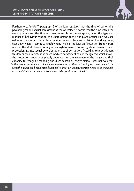

Furthermore, Article 7, paragraph 3 of the Law regulates that the time of performing psychological and sexual harassment at the workplace is considered the time within the working hours and the time of travel to and from the workplace, when the type and manner of behaviour considered as harassment at the workplace occurs. However, sexual extortion can also take place outside the workplace and outside of working hours, especially when it comes to employment. Hence, the Law on Protection from Harassment at the Workplace is not a good enough framework for recognition, prevention and protection against sexual extortion as an act of corruption. According to practitioners, this law only enumerates the cases in which harassment can be recognized, which makes the protection process completely dependent on the awareness of the judges and their capacity to recognize mobbing and discrimination. Lawyer Marta Gusar believes that "either the judges are not trained enough to see this or the law is not good. There needs to be something that can be realistically applied in practice. Sexual extortion needs to be explained in more detail and with a broader view in order for it to be tackled."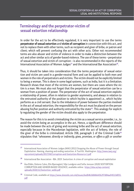### **Terminology and the perpetrator-victim of sexual extortion relationship**

In order for the act to be effectively regulated, it is very important to use the terms **perpetrator of sexual extortion** and **victim of corruption** in connection with this act, and not to replace them with other terms, such as recipient and giver of bribe, or patron and client; which will prevent confusing the act with other acts. Other not recommended terms are also abuser and victim of violence in order to make a distinction between the act and other similar acts of gender-based violence. The use of these terms – perpetrator of sexual extortion and victim of corruption – is also recommended in the reports of the International Association of Women Judges**27** and the International Bar Association**28**.

Thus, it should be taken into consideration that the terms perpetrator of sexual extortion and victim are used in a gender-neutral form and can be applied to both men and women in the role of perpetrators and victims. The victim should not be explicitly limited to being a woman. This is done in some legal systems, such as India, but it is a limitation. Research shows that most of the victims are women, but there are cases where the victim is a man. We must also not forget that the perpetrator of sexual extortion can be a woman from a position of power. The perpetrator of the act of sexual extortion exploits a relationship of power, often in relation to gender asymmetry, and always in relation to the entrusted authority of the position to which he/she is appointed i.e., which he/she performs as a civil servant. Due to the imbalance of power between the parties involved in the act of sexual extortion, the responsibility for the act must be placed on the person abusing his/her position and authority entrusted by the state**29**. This analogy for explicitly regulating the gender of the victim should also apply to the perpetrator.

The reason for this is to avoid criminalizing the victim as a sexual service provider, i.e., to avoid the victim being an accomplice in the act. Hence, a significant difference should be made between the acts of giving and receiving bribe and the act of sexual extortion, especially because in the Macedonian legislation, with the act of bribery, the role of the giver of the bribe is criminalized. Article 358, paragraph 1 of the Criminal Code**<sup>30</sup>** stipulates that "whosoever, directly or indirectly, gives, promises, or offers a gift or another

**<sup>27</sup>** International Association of Women Judges (IAWJ) (2012) Stopping the Abuse of Power through Sexual Exploitation. Naming, shaming and ending sextortion. A Tool Kit. Washington. [http://www.iawj.org/](http://www.iawj.org/wpcontent/uploads/2017/04/Corruption-and-Sextortion-Resource-1.pdf) [wpcontent/uploads/2017/04/Corruption-and-Sextortion-Resource-1.pdf](http://www.iawj.org/wpcontent/uploads/2017/04/Corruption-and-Sextortion-Resource-1.pdf)

**<sup>28</sup>** International Bar Association - IBA. 2019. Sextortion: A crime of corruption and sexual exploitation

**<sup>29</sup>** Åsa Eldén, Dolores Calvo, Elin Bjarnegård, Silje Lundgren and Sofia Jonsson (2020) SEXTORTION: CORRUPTION AND GENDER-BASED VIOLENCE, available online: [https://eba.se/wp-content/](https://eba.se/wp-content/uploads/2020/11/Sextortion_webb.pdf) [uploads/2020/11/Sextortion\\_webb.pdf](https://eba.se/wp-content/uploads/2020/11/Sextortion_webb.pdf)

**<sup>30</sup>** Criminal Code, available at [https://www.slvesnik.com.mk/Issues/6ed04b3db86643b297d84aa94513d055.](https://www.slvesnik.com.mk/Issues/6ed04b3db86643b297d84aa94513d055.pdf) [pdf](https://www.slvesnik.com.mk/Issues/6ed04b3db86643b297d84aa94513d055.pdf)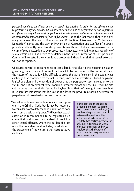

personal benefit to an official person, or benefit for another, in order for the official person to perform an official activity, which otherwise should not be performed, or not to perform an official activity which must be performed, or whosoever mediates in such relation, shall be sentenced to imprisonment of one to five years." Due to the fact that in theory, the laws analyzed above: the Law on Prevention and Protection of Women from Violence and Domestic Violence and the Law on Prevention of Corruption and Conflict of Interests provide a sufficiently broad basis for prosecution of this act, but also involve a risk for the victim of sexual extortion to be prosecuted, it is necessary to define a separate crime of sexual extortion and as a term to be defined in the Law on Prevention of Corruption and Conflict of Interests. If the victim is also prosecuted, there is a risk that sexual extortion will not be reported.

Of course, several aspects need to be considered. First, due to the existing legislation governing the existence of consent for the act to be performed by the perpetrator and the nature of the act, it will be difficult to prove the lack of consent in the quid pro quo exchange that characterizes the act. Second, since sexual extortion is based on psychological coercion and the position of power that the perpetrator uses in relation to the victim, and not on physical force, coercion, physical threats and the like, it will be difficult to prove that the victim feared for his/her life or that he/she might have been hurt. It is therefore important that legislation regulates the power relationship between the perpetrator of sexual extortion and the victim.

"Sexual extortion or sextortion as such is not present in the Criminal Code, but it may be necessary to consider how to determine it in relation to coercion from a position of power."**31** Given that sexual extortion is recommended to be regulated as a crime, it should follow the standard of proof like other sexual offenses, where the burden of proof is on the defendant, and includes, in addition to the statement of the victim, other corroborative evidence.

In this context, the following is recommended: (i) to define sexual extortion as a crime; (ii) to regulate the power relationship between the parties in the act of sexual extortion; (iii) to regulate two parties, perpetrator of sexual extortion and victim of sexual extortion; and (iv) to regulate that the burden of proof is on the party accused of sexual extortion.

**<sup>31</sup>** Natasha Gaber-Damjanovska, Director of the Academy for Judges and Public Prosecutors (Interview 13.09.2021)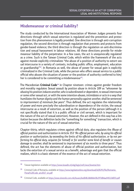## **Misdemeanour or criminal liability?**

The study conducted by the International Association of Women Judges presents four directions through which sexual extortion is regulated and the prevention and protection from this phenomenon is legally provided. One direction is through anti-corruption regulation, the second direction is through regulation that prevents and protects from gender-based violence; the third direction is through the regulation on anti-discrimination and sexual harassment in labour relations. All these directions provide for misdemeanour liability of the perpetrator. In a few cases, the act is unequivocally regulated as a crime. Such is the Taiwan Criminal Code, which within the framework of the acts against morale explicitly criminalizes "the abuse of a position of authority to extort sexual intercourse in a variety of contexts, including public office, employment, education or guardianship"**32**. In Romania as well, the abuse of power for sexual gain is explicitly criminalized in the Criminal Code, while the person who offers sexual service to a public official who abuses the situation of power or the position of authority conferred to him/ her is considered to be committing a misdemeanour**33**.

The Macedonian **Criminal Code34** in Chapter nineteen: crimes against gender freedom and morality regulates Sexual assault by position abuse in Article 189 as "whosoever by abusing his position induces another, who is subordinated or dependent, to sexual intercourse or some other sexual act, or with the same intention abuses, intimidates or acts in a way that humiliates the human dignity and the human personality against another, shall be sentenced to imprisonment of minimum five years". Thus defined, the act regulates the relationship of power and more precisely the subordination or dependence of the victim, the sexual intercourse as a result of extortion, as well as the position of the person (although it is not specifically stated that it is a public official or civil servant, which is important for the nature of the act of sexual extortion). However, the act defined in this way has a limitation because the definition lacks the "something for something" transaction, which is crucial for the nature of the act of sexual extortion.

Chapter thirty, which regulates crimes against official duty, also regulates the Abuse of official position and authorization in Article 353 "An official person who, by using his official position or authorization, by exceeding the limits of his official authorization, or by not performing his official duty, acquires for himself or for another some kind of benefit or causes damage to another, shall be sentenced to imprisonment of six months to three years". Thus defined, the act has the elements of abuse of official position and authorization, but lacks the extortion of a sexual service as a benefit, advantage and gain that the official realizes, which is a basic element of the essence of the act of sexual extortion.

**<sup>32</sup>** Taiwan legislation available at<https://www.lexadin.nl/wlg/legis/nofr/oeur/lxwetai.htm>

**<sup>33</sup>** Criminal Code of Romania, available at [https://www.legislationline.org/download/id/8291/file/Romania\\_](https://www.legislationline.org/download/id/8291/file/Romania_Penal Code_am2017_en.pdf) [Penal%20Code\\_am2017\\_en.pdf](https://www.legislationline.org/download/id/8291/file/Romania_Penal Code_am2017_en.pdf)

**<sup>34</sup>** Criminal Code, available at<https://www.slvesnik.com.mk/Issues/6ed04b3db86643b297d84aa94513d055.pdf>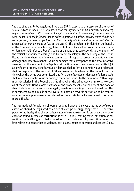

The act of taking bribe regulated in Article 357 is closest to the essence of the act of sexual extortion because it stipulates that "an official person who directly or indirectly requests or receives a gift or another benefit or is promised to receive a gift or another personal benefit or benefit for another, in order to perform an official activity which should not be performed, or does not perform an official activity which should be performed, shall be sentenced to imprisonment of four to ten years". The problem is in defining the benefit in the Criminal Code, which is regulated as follows: (i) a smaller property benefit, value or damage shall refer to a benefit, value or damage that corresponds to the amount of the officially announced average one-half monthly salary in the economy of the Republic, at the time when the crime was committed; (ii) a greater property benefit, value or damage shall refer to a benefit, value or damage that corresponds to the amount of five average monthly salaries in the Republic, at the time when the crime was committed; (iii) a significant property benefit, value or damage shall refer to a benefit, value or damage that corresponds to the amount of 50 average monthly salaries in the Republic, at the time when the crime was committed; and (iv) a benefit, value or damage of a large scale shall refer to a benefit, value or damage that corresponds to the amount of 250 average monthly salaries in the Republic, at the time when the crime was committed. However, all of these definitions allocate a financial and property value to the benefit and none of them include sexual intercourse as a gain, benefit or advantage that can be realized. This is considered to be a result of the overall orientation towards corruption to be treated as an economic phenomenon, which makes the efforts to tackle sexual extortion even more difficult.

The International Association of Women Judges, however, believes that the act of sexual extortion should be regulated as an act of corruption, suggesting that "The coercive power of authority that characterizes cases of sexual extortion is precisely the type of coercion found in cases of corruption" (IAWJ 2012: 16). Treating sexual extortion as corruption, the IAWJ suggests, helps to address the challenges of prosecution under the laws relating to gender-based violence, particularly issues of coercion and consent (ibid.).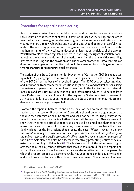### **Procedure for reporting and acting**

Reporting sexual extortion is a special issue to consider due to the specific and sensitive situation that the victim of sexual extortion is faced with. Acting, on the other hand, which can cause greater damage, stigmatization and marginalization of the victims who are already vulnerable and marginalized, should be further carefully regulated. The reporting procedure must be gender-responsive and should not violate the human rights of the victims. In Macedonian legislation, Article 1 of the **Law on Whistleblower Protection** regulates protected reporting, the rights of whistleblowers, as well as the actions and duties of the institutions, i.e., the legal entities regarding protected reporting and the provision of whistleblower protection. However, this law does not have a gender perspective, but could be amended to provide **gender-sensitive mechanisms for reporting** sexual extortion.

The action of the State Commission for Prevention of Corruption (SCPS) is regulated by Article 23, paragraph 1 as a procedure that begins either on the own initiative of the SCPC or on the basis of a received report. The SCPC acts by collecting data and information from competent institutions, legal entities and natural persons using the network of persons in charge of anti-corruption in the institution that takes all measures and activities to submit the required information, which it submits no later than 15 days from the day of receipt of the request by State Commission (paragraph 3). In case of failure to act upon the request, the State Commission may initiate misdemeanour proceedings (paragraph 4).

However, the report in both cases and on the basis of the Law on Whistleblower Protection and the Law on Prevention of Corruption should be with a guarantee that the disclosed information shall be stored and shall not be shared. The privacy of the report is a key issue as it affects whether the act will be reported. Namely, research shows that victims are afraid to report so as not to be blamed and shamed for the abuse they were victims of. In some cases, those allegations come from their own family, friends or the institutions that process the case. "When it comes to a crime, the procedure is longer, it takes a lot of time, it goes through many stages, first we go to the police, then to the public prosecutor's office, therefore revictimization happens all the time"**35**. Self-blame can also be a factor in effectively protecting victims of sexual extortion, according to Feigenblatt**36**. This is also a result of the widespread stigma attached to all sexual/gender offenses that makes them more difficult to report and prove. The existence of mechanisms that are gender sensitive, such as the person to which the report is made to be a woman, who has undergone gender equality training and who knows how to deal with victims of sexual offenses. "The absence of women

**<sup>35</sup>** Marta Gusar, Lawyer (Interview 25.08.2021)

**<sup>36</sup>** Feigenblatt, Hazel (2020) Breaking the silence around sextortion. The links between power, sex and corruption, Transparency International, Berlin, Germany. Report published 5 March 2020. https://www. transparency.org/whatwedo/publication/breaking the sil ence around sextortion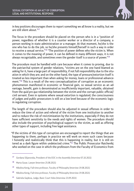

in key positions discourages them to report something we all know is a reality, but we are still silent about."**<sup>37</sup>**

The focus in the procedure should be placed on the person who is in a "position of power, regardless of whether it is a counter worker or a director of a company, a person working in state administration or a manager. At that moment, he/she is the one who has to do the job, so he/she presents himself/herself in such a way in order to receive a sexual service."**38** "The position of power defines who the victim is. When it comes to the meaning of power, it can be defined in many different ways, it is not always recognizable, and sometimes even the gender itself is a source of power."**<sup>39</sup>**

The procedure must be handled with care because when it comes to proving, due to the patriarchal system of gender relations, "victims are on the one hand blamed as asking for it, have a large part of responsibility, if not full responsibility due to the situation in which they are; and on the other hand, the type of pressure/extortion itself is treated as less important than when asking for money, loans or professional advancement."**40** This is a result of the very conceptualization of corruption as an economic phenomenon manifested in economic or financial gain, so sexual service as an advantage, benefit, gain is denominated as insufficiently important, valuable, obtained from the quid pro quo relationship between the victim and the corrupt public official/ civil servant. Even in systems where sexual extortion is regulated, the consciousness of judges and public prosecutors is still on a low level because of the economic logic in regulating corruption.

The length of the procedure should also be adjusted in sexual offenses in order to reduce the time of action and referral of the victim from one institution to another and to reduce the risk of revictimization by the institutions, especially if they do not have sufficient sensitivity to the needs and rights of women. The procedure should also include the provision of psychological support to the victim, as well as offering other types of support, including free legal assistance.

"If the victims of this type of corruption are encouraged to report the things that are happening to them, perhaps in practice we will work on more such cases because I honestly and realistically think that this is happening in reality, but it is still entered as a dark figure within undetected crime."**41** The Public Prosecutor Raichevikj who worked on the case in which the professors from the Faculty of Economics from

**<sup>37</sup>** Gordana Siljanovska, President of the EOC in the Assembly (Interview 07.10.2021)

**<sup>38</sup>** Marta Gusar, Lawyer (Interview 25.08.2021)

**<sup>39</sup>** Nikolina Kenig, Full-time professor, Faculty of Philosophy (Interview 19.08.2021)

**<sup>40</sup>** Nikolina Kenig, Full-time professor, Faculty of Philosophy (Interview 19.08.2021)

**<sup>41</sup>** Gabriela Gajdova, Judge, Basic Court Veles (Interview 23.09.2021)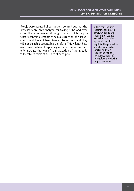Skopje were accused of corruption, pointed out that the professors are only charged for taking bribe and exercising illegal influence. Although the acts of both professors contain elements of sexual extortion, the sexual component has not been taken into account and they will not be held accountable therefore. This will not help overcome the fear of reporting sexual extortion and can only increase the fear of stigmatization of the already vulnerable victims of this act of corruption.

In this context, it is recommended: (i) to carefully define the reporting of sexual extortion as a crime by the victim; (ii) to regulate the procedure in order for it to be shorter and thus reduce the risk of revictimization; (iii) to regulate the victim support services.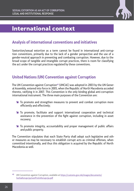

## International context

## **Analysis of international conventions and initiatives**

Sextortion/sexual extortion as a term cannot be found in international anti-corruption conventions, primarily due to the lack of a gender perspective and the use of a gender-neutral approach in preventing and combating corruption. However, due to the broad scope of tangible and intangible corrupt practices, there is room for classifying the act under the corrupt practices regulated by these conventions.

## **United Nations (UN) Convention against Corruption**

The UN Convention against Corruption**42** (UNCAC) was adopted in 2003 by the UN General Assembly, entered into force in 2005, when the Republic of North Macedonia acceded thereto, ratifying it in 2007. This Convention is the only binding global anti-corruption international instrument. The three main purposes of the Convention are:

- <sup>1</sup> To promote and strengthen measures to prevent and combat corruption more efficiently and effectively;
- **EXECUTE:** To promote, facilitate and support international cooperation and technical assistance in the prevention of the fight against corruption, including in asset recovery;
- **EXECUTE:** To promote integrity, accountability and proper management of public affairs and public property.

The Convention stipulates that each State Party shall adopt such legislative and other measures as may be necessary to establish corrupt acts as criminal offenses, when committed intentionally, and thus this obligation is acquired by the Republic of North Macedonia as well.

**<sup>42</sup>** UN Convention against Corruption, available at [https://customs.gov.mk/images/documents/](https://customs.gov.mk/images/documents/borbaKorupcija/oonProtivKorupcija.pdf) [borbaKorupcija/oonProtivKorupcija.pdf](https://customs.gov.mk/images/documents/borbaKorupcija/oonProtivKorupcija.pdf)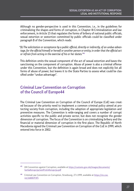Although no gender-perspective is used in this Convention, i.e., in the guidelines for criminalizing the shapes and forms of corruption, in Chapter III-Criminalization and law enforcement, in Article 15 that regulates the forms of bribery of national public officials, sexual extortion or sextortion committed by public officials could be classified under paragraph B of the Convention, which reads:

"(b) The solicitation or acceptance by a public official, directly or indirectly, of an undue advantage, for the official himself or herself or another person or entity, in order that the official act or refrain from acting in the exercise of his or her duties."**<sup>43</sup>**

This definition omits the sexual component of the act of sexual extortion and bases the sanctioning on the component of corruption. Abuse of power is also a criminal offense under this Convention, but the definition is again broad and does not explicitly list all forms of abuse of power, but leaves it to the State Parties to assess what could be classified under "undue advantage".

## **Criminal Law Convention on Corruption of the Council of Europe44**

The Criminal Law Convention on Corruption of the Council of Europe (CoE) was created because of the priority need to implement a common criminal policy aimed at protecting society from corruption, including the adoption of appropriate legislation and preventive measures. The Convention is wide-ranging and covers a number of corrupt activities specific to the public and private sector, but does not recognize the gender dimension of corruption. The focus of the Convention is on criminalizing bribery and the financial or material dimension of corruption in the first place. The Republic of North Macedonia signed the Criminal Law Convention on Corruption of the CoE in 1999, which entered into force in 2002.

**<sup>43</sup>** UN Convention against Corruption, available at [https://customs.gov.mk/images/documents/](https://customs.gov.mk/images/documents/borbaKorupcija/oonProtivKorupcija.pdf) [borbaKorupcija/oonProtivKorupcija.pdf](https://customs.gov.mk/images/documents/borbaKorupcija/oonProtivKorupcija.pdf)

**<sup>44</sup>** Criminal Law Convention on Corruption, Strasbourg, 27.I.1999, available at [https://rm.coe.](https://rm.coe.int/168007f3f5) [int/168007f3f5](https://rm.coe.int/168007f3f5)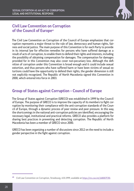

## **Civil Law Convention on Corruption of the Council of Europe45**

The Civil Law Convention on Corruption of the Council of Europe emphasizes that corruption represents a major threat to the rule of law, democracy and human rights, fairness and social justice. The main purpose of this Convention is for each Party to provide in its internal law for effective remedies for persons who have suffered damage as a result of acts of corruption, to enable them to defend their rights and interests, including the possibility of obtaining compensation for damages. The compensation for damages provided for in this Convention may also cover non-pecuniary loss. Although the definition of corruption under this Convention is broad enough and it could include sexual extortion, and thus persons who have suffered harm or have been victims of sexual extortions could have the opportunity to defend their rights, the gender dimension is still not explicitly recognized. The Republic of North Macedonia signed this Convention in 2000, which entered into force in 2003.

## **Group of States against Corruption – Council of Europe**

The Group of States against Corruption (GRECO) was established in 1999 by the Council of Europe. The purpose of GRECO is to improve the capacity of its members to fight corruption by monitoring their compliance with the anti-corruption standards of the Council of Europe, through a dynamic process of peer review and peer pressure. In this way, the shortcomings in the national anti-corruption policies are identified, encouraging the necessary legal, institutional and practical reforms. GRECO also provides a platform for sharing best practices in preventing and detecting corruption. The Republic of North Macedonia has been a member of GRECO since 2000.

GRECO has been organizing a number of discussions since 2012 on the need to include a gender perspective in the fight against corruption.

**<sup>45</sup>** Civil Law Convention on Corruption, Strasbourg, 4.XI.1999, available at <https://rm.coe.int/168007f3f6>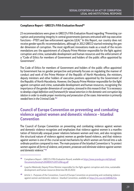#### **Compliance Report – GRECO's Fifth Evaluation Round46**

23 recommendations were given in GRECO's Fifth Evaluation Round regarding "Preventing corruption and promoting integrity in central governments (persons entrusted with top executive functions – PTEF) and law enforcement agencies (LEA)." In this Report, our country does not receive gender-specific recommendations, although in 2012 GRECO started reviewing the gender dimension of corruption. The most significant innovations made as a result of the recommendations are: the appointment of a Deputy Prime Minister responsible for the fight against corruption and crime, sustainable development and human resources and the enforcement of a "Code of Ethics for members of Government and holders of the public office appointed by Government".

The Code of Ethics for members of Government and holders of the public office appointed by Government has no gender perspective and primarily focuses on regulating the manner of conduct and work of the Prime Minister of the Republic of North Macedonia, the ministers, deputy ministers and other holders of executive positions appointed by the Government of the Republic of North Macedonia. However, the Deputy Prime Minister responsible for the fight against corruption and crime, sustainable development and human resources, recognizing the importance of the gender dimension of corruption, stressed in this research that "it is necessary to develop a legal definition and framework for sexual extortion in the domestic anti-corruption legislation in order to enable proper monitoring and prosecution of the cases. Intervention is primarily needed here in the Criminal Code."**<sup>47</sup>**

## **Council of Europe Convention on preventing and combating violence against women and domestic violence – Istanbul Convention**

The Council of Europe Convention on preventing and combating violence against women and domestic violence recognizes and emphasizes that violence against women is a manifestation of historically unequal power relations between women and men, and also recognizes the structural nature of violence against women as gender-based violence, and that violence against women is one of the crucial social mechanisms by which women are forced into a subordinate position compared to men. The main purpose of the Istanbul Convention is "to protect women against all forms of violence, and prevent, prosecute and eliminate violence against women and domestic violence." **<sup>48</sup>**

**<sup>46</sup>** Compliance Report – GRECO's Fifth Evaluation Round, available at [https://www.pravda.gov.mk/Upload/](https://www.pravda.gov.mk/Upload/Documents/Izvestaj GREKO 5 krug.pdf) [Documents/Izvestaj%20GREKO%205%20krug.pdf](https://www.pravda.gov.mk/Upload/Documents/Izvestaj GREKO 5 krug.pdf)

**<sup>47</sup>** Ljupcho Nikolovski, Deputy Prime Minister responsible for the fight against corruption and crime, sustainable development and human resources (Interview 08.10.2021)

**<sup>48</sup>** Article 1 – Purposes of the Convention, Council of Europe Convention on preventing and combating violence against women and domestic violence – Istanbul Convention, available at <https://rm.coe.int/168046253a>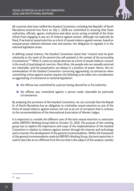

All countries that have ratified the Istanbul Convention, including the Republic of North Macedonia (entered into force on July 1, 2018) are committed to ensuring that State authorities, officials, agents, institutions and other actors acting on behalf of the State refrain from engaging in any act of violence against women. Although not explicitly defined, if we look at sexual extortion as a form of sexual violence against women, based on unequal power relations between men and women, the obligation to regulate it in the national legislation arises.

In defining sexual violence, the Istanbul Convention states that "consent must be given voluntarily as the result of the person's free will assessed in the context of the surrounding circumstances." **49** When it comes to sexual extortion as a form of sexual violence, consent is the result of psychological coercion. Most often, the people who are sexually extorted are vulnerable, and the perpetrators are always in a position of power. Hence, the recommendation of the Istanbul Convention concerning aggravating circumstances when committing crimes against women requires the following to be taken into consideration as aggravating circumstances in national legislation:

- $\triangle$  the offense was committed by a person having abused her or his authority;
- <sup>1</sup> the offense was committed against a person made vulnerable by particular circumstances.

By analysing the provisions of the Istanbul Convention, we can conclude that the Republic of North Macedonia has an obligation to criminalize sexual extortion as one of the forms of sexual violence against women, but not as an act of corruption that is contrary to the recommendations of the International Association of Women Judges.

It is important to consider the different uses of the term sexual extortion or sextortion within GREVIO's Working Group held on October 23, 2020. The purpose of this working group was to explore the importance and scope of the implementation of the Istanbul Convention in relation to violence against women through the internet and technology and to monitor the development of the general recommendation. Within the framework of the general recommendation made by GREVIO's Working Group, the term sextortion is used to describe an act different from the one that is the subject of this analysis, namely:

**<sup>49</sup>** Ibid.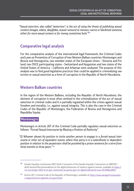"Sexual extortion, also called "sextortion", is the act of using the threat of publishing sexual content (images, videos, deepfakes, sexual rumours) to menace, coerce or blackmail someone, either for more sexual content or for money, sometimes both."**<sup>50</sup>**

### **Comparative legal analysis**

For the comparative analysis of the international legal framework, the Criminal Codes and Laws on Prevention of Corruption of two Western Balkan countries: Montenegro and Bosnia and Herzegovina, two member states of the European Union – Slovenia and Finland, two OSCE participating states – Switzerland and Kyrgyzstan and two states of the United States of America – California and Arkansas were analyzed. The purpose of this analysis was to find good legislative practices that could be applied in criminalizing sextortion or sexual extortion as a form of corruption in the Republic of North Macedonia.

## **Western Balkan countries**

In the region of the Western Balkans, including the Republic of North Macedonia, the element of corruption is most often omitted in the criminalization of the act of sexual extortion in criminal codes and it is partially regulated within the crimes against sexual freedom and morality, i.e., against sexual integrity. This is also the case in the Criminal Codes of the Republic of Montenegro, the Federation of Bosnia and Herzegovina and Republika Srpska.

#### **Montenegro**

Montenegro in Article 207 of the Criminal Code partially regulates sexual extortion as follows: "Forced Sexual Intercourse by Abusing a Position of Authority"

"(1) Whoever abuses his position to incite another person to engage in a forced sexual intercourse or other act of equivalent nature, where that party is in a subordinate or dependent position in relation to the perpetrator shall be punished by a prison sentence for a term from three months to three years." **<sup>51</sup>**

**<sup>50</sup>** Gender Equality Commission (GEC) Draft Comments of the Gender Equality Commission on GREVIO´s draft General Recommendation on the digital dimension of violence against women, available at [https://](https://rm.coe.int/gec-2021-4-rev-gec-comments-on-grevio-gen-rec-digital-dimension-vaw-29/1680a20817) [rm.coe.int/gec-2021-4-rev-gec-comments-on-grevio-gen-rec-digital-dimension-vaw-29/1680a20817](https://rm.coe.int/gec-2021-4-rev-gec-comments-on-grevio-gen-rec-digital-dimension-vaw-29/1680a20817)

**<sup>51</sup>** Article 207, Criminal Code of the Republic of Montenegro, available at [https://www.paragraf.me/propisi](https://www.paragraf.me/propisi-crnegore/krivicni-zakonik-crne-gore.html)[crnegore/krivicni-zakonik-crne-gore.html](https://www.paragraf.me/propisi-crnegore/krivicni-zakonik-crne-gore.html)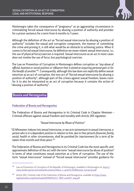

Montenegro takes the consequence of "pregnancy" as an aggravating circumstance in criminalizing forced sexual intercourse by abusing a position of authority and provides for a prison sentence for a term from 6 months to 5 years.

Although the definition of the act as "forced sexual intercourse by abusing a position of authority" includes the sexual and corruption component, the manner of committing the crime and proving it, is still what would be an obstacle to achieving justice. When it comes to forced sexual intercourse, by definition we mean violent sexual intercourse, i.e., the use of physical force/coercion is required. Sexual intercourse as an act in most cases does not involve the use of force, but psychological coercion.

The Law on Prevention of Corruption in Montenegro defines corruption as "any abuse of official, business or social position or influence that is aimed at acquiring personal gain or for the benefit of another"**52**. Consequently, although this law does not explicitly define sexual extortion as an act of corruption, the very act of "forced sexual intercourse by abusing a position of authority", although part of the crimes against sexual freedom, leaves room for it to also be interpreted as an act of corruption because it contains the action of "abusing a position of authority".

#### **Bosnia and Herzegovina**

#### **Federation of Bosnia and Herzegovina**

The Federation of Bosnia and Herzegovina in its Criminal Code in Chapter Nineteen – Criminal offenses against sexual freedom and morality with Article 205 regulates:

"Sexual Intercourse by Abuse of Position"

"(1) Whosoever induces into sexual intercourse, or sex acts tantamount to sexual intercourse, a person who is in a dependent position in relation to him, due to that person's financial, family, social, health or other circumstances, shall be punished for imprisonment for a term of between three months and three years."**<sup>53</sup>**

The Federation of Bosnia and Herzegovina in its Criminal Code has the most specific and approximate definition of the act with the term "sexual intercourse by abuse of position" in terms of what constitutes sexual extortion as a form of corruption. The use of the term "sexual intercourse" instead of "forced sexual intercourse" provides guidance for

**<sup>52</sup>** Law on Prevention of Corruption of the Republic of Montenegro, available in Montenegrin at: [https://](https://www.antikorupcija.me/media/documents/Zakon_o_sprje%C4%8Davanju_korupcije.pdf) [www.antikorupcija.me/media/documents/Zakon\\_o\\_sprje%C4%8Davanju\\_korupcije.pdf](https://www.antikorupcija.me/media/documents/Zakon_o_sprje%C4%8Davanju_korupcije.pdf)

**<sup>53</sup>** Article 205, Criminal code of the Federation of Bosnia and Herzegovina, available at [https://www.](https://www.legislationline.org/download/id/8500/file/CC_FBiH_am2017_eng.pdf) [legislationline.org/download/id/8500/file/CC\\_FBiH\\_am2017\\_eng.pdf](https://www.legislationline.org/download/id/8500/file/CC_FBiH_am2017_eng.pdf)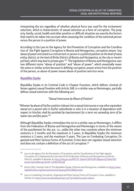interpreting the act regardless of whether physical force was used for the incitement/ extortion, which is characteristic of sexual extortion as a form of corruption. The property, family, social, health and other position or difficult situation are exactly the factors that need to be taken into account when assessing the condition of the extorted person versus the person in a position of power.

According to the Law on the Agency for the Prevention of Corruption and the Coordination of the Fight Against Corruption in Bosnia and Herzegovina, corruption means "any abuse of power entrusted to a civil servant or person in a political position at the level of state, entity, district, at the level of Brcko District of Bosnia and Herzegovina, at the city or municipal level, which may lead to private gain."**<sup>54</sup>** The legislation of Bosnia and Herzegovina uses two different terms "abuse of position" and "abuse of power", which essentially mean the same or similar action because in defining corruption, power arises from the position of the person, so abuse of power means abuse of position and vice versa.

#### **Republika Srpska**

Republika Srpska in its Criminal Code in Chapter Fourteen, which defines criminal offenses against sexual freedom with Article 168, in a similar way as Montenegro, partially defines sexual extortion with the following act:

"Sexual Intercourse by Abuse of Position"

"Whoever by abuse of his/her position induces into a sexual intercourse or any other equivalent sexual act a person who is his/her subordinate or who is in a situation of dependence with respect to him/her, shall be punished by imprisonment for a term not exceeding term of between two and five years."**<sup>55</sup>**

Although Republika Srpska criminalizes the act in a similar way as Montenegro, it differs from the Federation of Bosnia and Herzegovina and Montenegro in terms of the extent of the punishment for the act, i.e., unlike the other two countries where the minimum sentence is 3 months and the maximum is 3 years, in Republika Srpska the minimum sentence is 2 years, and the maximum 5 years. The Law on Combating Corruption, Organized and Most Serious Forms of Economic Crime does not regulate sexual extortion and does not contain a definition of the act of corruption.**<sup>56</sup>**

**<sup>54</sup>** Law on the Agency for the Prevention of Corruption and the Coordination of the Fight Against Corruption (it is implemented at the level of the Federation of Bosnia and Herzegovina and Brcko District), available in Bosnian at: [http://msb.gov.ba/PDF/35\\_Zakon%20o%20%20agenciji%20za%20](http://msb.gov.ba/PDF/35_Zakon o  agenciji za prevenciju korupciji _ 103-09.pdf) [prevenciju%20korupciji%20\\_%20103-09.pdf](http://msb.gov.ba/PDF/35_Zakon o  agenciji za prevenciju korupciji _ 103-09.pdf)

**<sup>55</sup>** Article 168, Criminal Code of The Republika Srpska of Bosnia and Herzegovina, available at [https://www.](https://www.legislationline.org/documents/action/popup/id/23380/preview) [legislationline.org/documents/action/popup/id/23380/preview](https://www.legislationline.org/documents/action/popup/id/23380/preview)

**<sup>56</sup>** Law on Combating Corruption, Organized and Most Serious Forms of Economic Crime, available in Serbian at:<https://www.narodnaskupstinars.net/?q=la/akti/usvojeni-zakoni>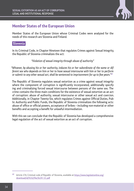

Member States of the European Union whose Criminal Codes were analyzed for the needs of this research are Slovenia and Finland.

#### **Slovenia**

In its Criminal Code, in Chapter Nineteen that regulates Crimes against Sexual Integrity, the Republic of Slovenia criminalizes the act:

"Violation of sexual integrity through abuse of authority"

"Whoever, by abusing his or her authority, induces his or her subordinate of the same or different sex who depends on him or her to have sexual intercourse with him or her to perform or submit to any other sexual act, shall be sentenced to imprisonment for up to five years."**<sup>57</sup>**

The Republic of Slovenia regulates sexual extortion as a crime against sexual integrity where the component of corruption is significantly incorporated, additionally specifying and criminalizing forced sexual intercourse between persons of the same sex. The crime contains the three main conditions for the existence of sexual extortion as an act of corruption: abuse of authority, sexual intercourse or other sexual act and coercion. Additionally, in Chapter Twenty-Six, which regulates Crimes against Official Duties, Public Authority and Public Funds, the Republic of Slovenia criminalizes the following acts: abuse of office or official powers, acceptance of bribes – including non-material or other benefits and accepting a benefit for unlawful intermediation.

With this we can conclude that the Republic of Slovenia has developed a comprehensive legal regulation of the act of sexual extortion as an act of corruption.

**<sup>57</sup>** Article 174, Criminal code of Republic of Slovenia, available at [https://www.legislationline.org/](https://www.legislationline.org/download/id/9232/file/SLOV_CC.pdf) [download/id/9232/file/SLOV\\_CC.pdf](https://www.legislationline.org/download/id/9232/file/SLOV_CC.pdf)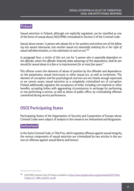#### **Finland**

Sexual extortion in Finland, although not explicitly regulated, can be classified as one of the forms of sexual abuse (563/1998) criminalized in Section 5 of the Criminal Code:

Sexual abuse means "a person who abuses his or her position and entices one of the following into sexual intercourse, into another sexual act essentially violating his or her right of sexual self-determination, or into submission to such an act:"**<sup>58</sup>**

In paragraph four, a victim of this act can be "a person who is especially dependent on the offender, where the offender blatantly takes advantage of this dependence, shall be sentenced for sexual abuse to a fine or to imprisonment for at most four years."

This offense covers the elements of abuse of position by the offender and dependence on the perpetrator, sexual intercourse or other sexual act, as well as incitement. The element of corruption and the psychological coercion are not clearly enough expressed, so we cannot assess sexual extortion as a completely criminalized act of corruption. Finland additionally regulates the acceptance of bribe, including non-material or other benefits, accepting bribes with aggravating circumstances in exchange for performing or not performing a service, as well as abuse of public office, by criminalizing offenses committed during service performance.

## **OSCE Participating States**

Participating States of the Organization of Security and Cooperation of Europe whose Criminal Codes were subject of analysis in this research are Switzerland and Kyrgyzstan.

#### **Switzerland**

In the Swiss Criminal Code, in Title Five, which regulates offenses against sexual integrity, the various components of sexual extortion are criminalized by two articles in the section on offenses against sexual liberty and honour:

**<sup>58</sup>** 563/1998 Criminal Code of Finland, available at [https://www.legislationline.org/download/id/6375/file/](https://www.legislationline.org/download/id/6375/file/Finland_CC_1889_am2015_en.pdf) [Finland\\_CC\\_1889\\_am2015\\_en.pdf](https://www.legislationline.org/download/id/6375/file/Finland_CC_1889_am2015_en.pdf)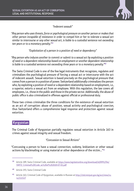

"Indecent assault"

"Any person who uses threats, force or psychological pressure on another person or makes that other person incapable of resistance in order to compel him or her to tolerate a sexual act similar to intercourse or any other sexual act, is liable to a custodial sentence not exceeding ten years or to a monetary penalty."**<sup>59</sup>**

"Exploitation of a person in a position of need or dependency"

"Any person who induces another to commit or submit to a sexual act by exploiting a position of need or a dependent relationship based on employment or another dependent relationship is liable to a custodial sentence not exceeding three years or to a monetary penalty."**<sup>60</sup>**

The Swiss Criminal Code is one of the few legal instruments that recognizes, regulates and criminalizes the psychological pressure of forcing a sexual act or intercourse with the act of indecent assault. Sexual extortion is based precisely on the psychological pressure that comes from a person in a position of power. Switzerland additionally criminalizes the person who, by exploiting a position of need or a dependent relationship based on employment, i.e., a superior, extorts a sexual act from an employee. With this regulation, the law covers all employees, i.e., those in the public and those in the private sector. Additionally, the abuse of public office is also criminalized in offenses against official or professional duty.

These two crimes criminalize the three conditions for the existence of sexual extortion as an act of corruption: abuse of position, sexual activity and psychological coercion, thus Switzerland offers a comprehensive legal response and protection against sexual extortion.

### **Kyrgyzstan**

The Criminal Code of Kyrgyzstan partially regulates sexual extortion in Article 163 in crimes against sexual integrity and sexual freedom.

"Concussion to Sexual Actions"

"Concussing a person to have a sexual connection, sodomy, lesbianism or other sexual actions by blackmailing or using material or other dependence of the victim..."**<sup>61</sup>**

**<sup>59</sup>** Article 189, Swiss Criminal Code, available at [https://www.legislationline.org/download/id/8991/file/](https://www.legislationline.org/download/id/8991/file/SWITZ_Criminal Code_as of 2020-07-01.pdf) [SWITZ\\_Criminal%20Code\\_as%20of%202020-07-01.pdf](https://www.legislationline.org/download/id/8991/file/SWITZ_Criminal Code_as of 2020-07-01.pdf)

**<sup>60</sup>** Article 193, Swiss Criminal Code

**<sup>61</sup>** Article 163, Criminal Code of Kyrgyzstan, available in Russian at [http://cbd.minjust.gov.kg/act/view/ru](http://cbd.minjust.gov.kg/act/view/ru-ru/111527)[ru/111527](http://cbd.minjust.gov.kg/act/view/ru-ru/111527)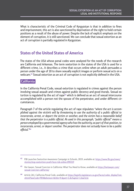What is characteristic of the Criminal Code of Kyrgyzstan is that in addition to fines and imprisonment, this act is also sanctioned by deprivation of the right to hold certain positions as a result of the abuse of power. Despite the lack of explicit emphasis on the element of corruption, it is still sanctioned. We can conclude that sexual extortion as an act of corruption is partially regulated in Kyrgyzstan.

## **States of the United States of America**

The states of the USA whose penal codes were analyzed for the needs of the research are California and Arkansas. The term sextortion in the states of the USA is used for a different crime, i.e., it describes a crime that occurs online when an adult persuades a person under the age of 18 to share sexually explicit images or perform sexual acts on a webcam.**62** Sexual extortion as an act of corruption is not explicitly defined in the USA.

### **California**

In the California Penal Code, sexual extortion is regulated in crimes against the person involving sexual assault and crimes against public decency and good morals. Sexual extortion is regulated by the act of rape**63** which is defined as an act of sexual intercourse accomplished with a person not the spouse of the perpetrator, and under different circumstances.

Paragraph 7 of the article regulating the act of rape stipulates "where the act is accomplished against the victim's will by threatening to use the authority of a public official to incarcerate, arrest, or deport the victim or another, and the victim has a reasonable belief that the perpetrator is a public official. As used in this paragraph, "public official" means a person employed by a governmental agency who has the authority, as part of that position, to incarcerate, arrest, or deport another. The perpetrator does not actually have to be a public official."**<sup>64</sup>**

**<sup>62</sup>** FBI Launches Sextortion Awareness Campaign in Schools, 2019, available at: [https://www.fbi.gov/news/](https://www.fbi.gov/news/stories/stop-sextortion-youth-face-risk-online-090319) [stories/stop-sextortion-youth-face-risk-online-090319](https://www.fbi.gov/news/stories/stop-sextortion-youth-face-risk-online-090319)

**<sup>63</sup>** Her lawyer, Sexual Coercion in California: What You Need to Know, available at [https://herlawyer.com/](https://herlawyer.com/sexual-coercion-california/) [sexual-coercion-california/](https://herlawyer.com/sexual-coercion-california/)

**<sup>64</sup>** Article 261, California Penal Code, available at [https://leginfo.legislature.ca.gov/faces/codes\\_displayText.](https://leginfo.legislature.ca.gov/faces/codes_displayText.xhtml?lawCode=PEN&division=&title=9.&part=1.&chapter=1.&article) [xhtml?lawCode=PEN&division=&title=9.&part=1.&chapter=1.&article](https://leginfo.legislature.ca.gov/faces/codes_displayText.xhtml?lawCode=PEN&division=&title=9.&part=1.&chapter=1.&article)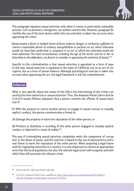

This paragraph regulates sexual extortion only when it comes to particularly vulnerable persons, such as prisoners, immigrants, sex workers and the like. However, paragraph (b) clarifies the use of the term duress within the Law and what is taken into account when appraising the crime:

"duress means a direct or implied threat of force, violence, danger, or retribution sufficient to coerce a reasonable person of ordinary susceptibilities to perform an act which otherwise would not have been performed, or acquiesce in an act to which one otherwise would not have submitted. The total circumstances, including the age of the victim, and his or her relationship to the defendant, are factors to consider in appraising the existence of duress."**<sup>65</sup>**

Specific to this criminalization is that sexual extortion is appraised as a form of rape. In this way, sexual extortion is regulated in the state of California, not as an act of corruption, but as a form of sexual violence. Although psychological coercion is taken into account when appraising the act, the legal framework is still not comprehensive.

#### **Arkansas**

What is very specific about the states of the USA is the intertwining of the crimes covered by the term sextortion or sexual extortion. Thus, the Arkansas Penal Code in Article 5-14-113 sexual offenses stipulates that a person commits the offense of sexual extortion if:

"(1) With the purpose to coerce another person to engage in sexual contact or sexually explicit conduct, the person communicates a threat to:

(A) Damage the property or harm the reputation of the other person; or

(B) Produce or distribute a recording of the other person engaged in sexually explicit conduct or depicted in a state of nudity;"**<sup>66</sup>**

This way of criminalizing sexual extortion completely omits the component of corruption or the abuse of power, and the coercion is based on the use of physical force and a real threat to harm the reputation of the other person. When preparing a legal framework for regulating sextortion in a country, it is very important to choose an appropriate term that the local population, but also the relevant legal actors will recognize and with which they will associate the relevant crime.

**<sup>65</sup>** Article 261 (b), California Penal Code ibid.

**<sup>66</sup>** 5-14-113, Arkansas Penal Code, available at [https://law.justia.com/codes/arkansas/2017/title-5/](https://law.justia.com/codes/arkansas/2017/title-5/subtitle-2/chapter-14/subchapter-1/section-5-14-113/) [subtitle-2/chapter-14/subchapter-1/section-5-14-113/](https://law.justia.com/codes/arkansas/2017/title-5/subtitle-2/chapter-14/subchapter-1/section-5-14-113/)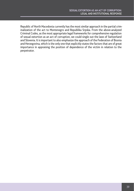Republic of North Macedonia currently has the most similar approach in the partial criminalization of the act to Montenegro and Republika Srpska. From the above-analyzed Criminal Codes, as the most appropriate legal frameworks for comprehensive regulation of sexual extortion as an act of corruption, we could single out the laws of Switzerland and Slovenia. It is important to also emphasize the approach of the Federation of Bosnia and Herzegovina, which is the only one that explicitly states the factors that are of great importance in appraising the position of dependence of the victim in relation to the perpetrator.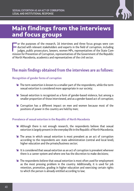

## Main findings from the interviews and focus groups

For the purposes of the research, 16 interviews and three focus groups were conducted with relevant stakeholders and experts in the field of corruption, including judges, public prosecutors, lawyers, women MPs, representat or the purposes of the research, 16 interviews and three focus groups were conducted with relevant stakeholders and experts in the field of corruption, including judges, public prosecutors, lawyers, women MPs, representatives of the State Comof North Macedonia, academics and representatives of the civil sector.

## **The main findings obtained from the interviews are as follows:**

#### **Recognition of gender forms of corruption**

- $\blacktriangleright$  The term sextortion is known to a smaller part of the respondents, while the term sexual extortion is considered more appropriate in our society;
- $\blacktriangleright$  Sexual extortion is recognized as a form of gender-based violence, but among a smaller proportion of those interviewed, and as a gender-based act of corruption;
- **EX** Corruption has a different impact on men and women because most of the positions of power in the country are held by men;

#### **Prevalence of sexual extortion in the Republic of North Macedonia**

- **EXALT** Although there is not enough research, the respondents believe that sexual extortion is largely present in the everyday life in the Republic of North Macedonia;
- <sup>1</sup> The areas in which sexual extortion is most prevalent as an act of corruption according to the respondents are: state administration (central and local level), higher education and the private/business sector;
- $\blacktriangleright$  It is considered that sexual extortion as an act of corruption is prevalent wherever there is a career system and where one has the discretion to make decisions;
- Ê The respondents believe that sexual extortion is most often used for employment as the most pressing problem in the country. Additionally, it is used for job retention, promotion, grading in higher education and exercising certain rights to which the person is already entitled according to law;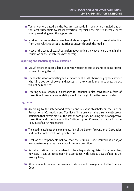- Ê Young women, based on the beauty standards in society, are singled out as the most susceptible to sexual extortion, especially the most vulnerable ones: unemployed, single mothers, poor, etc.
- <sup>1</sup> Most of the respondents have heard about a specific case of sexual extortion from their relatives, associates, friends and/or through the media;
- Ê Most of the cases of sexual extortion about which they have heard are in higher education or the private/business sector;

#### **Reporting and sanctioning sexual extortion**

- $\blacktriangleright$  Sexual extortion is considered to be rarely reported due to shame of being judged or fear of losing the job;
- $\blacktriangleright$  The sanctions for committing sexual extortion should be borne only by the extorter who is in a position of power and abuses it, if the victim is also sanctioned, the act will not be reported;
- **EXECT** Offering sexual services in exchange for benefits is also considered a form of corruption, however accountability should be sought from the power holder.

#### **Legislation**

- <sup>1</sup> According to the interviewed experts and relevant stakeholders, the Law on Prevention of Corruption and Conflict of Interests contains a sufficiently broad definition that covers most of the acts of corruption, including active and passive corruption, and is in line with the Anti-Corruption Conventions ratified by the Republic of North Macedonia;
- <sup>1</sup> The need to evaluate the implementation of the Law on Prevention of Corruption and Conflict of Interests was pointed out;
- **EXECT** Most of the respondents believe that the Criminal Code insufficiently and/or inadequately regulates the various forms of corruption;
- Sexual extortion is not considered to be adequately regulated by national law; however, it can be acted upon in accordance with various acts defined in the existing laws;
- $\triangleq$  All respondents believe that sexual extortion should be regulated by the Criminal Code;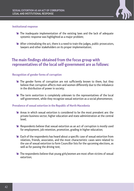

#### **Institutional response**

- **EXEC** The inadequate implementation of the existing laws and the lack of adequate systemic response was highlighted as a major problem;
- $\blacktriangleright$  After criminalizing the act, there is a need to train the judges, public prosecutors, lawyers and other stakeholders on its proper implementation;

## **The main findings obtained from the focus group with representatives of the local self-government are as follows:**

#### **Recognition of gender forms of corruption**

- **EXECT** The gender forms of corruption are not sufficiently known to them, but they believe that corruption affects men and women differently due to the imbalance in the distribution of power in society;
- <sup>1</sup> The term sextortion is completely unknown to the representatives of the local self-government, while they recognize sexual extortion as a social phenomenon;

#### **Prevalence of sexual extortion in the Republic of North Macedonia**

- $\blacktriangleright$  Areas in which sexual extortion is considered to be the most prevalent are: the private business sector, higher education and state administration at the central level;
- $\blacktriangleright$  Respondents believe that sexual extortion as an act of corruption is mostly used for employment, job retention, promotion, grading in higher education;
- $\triangle$  Each of the respondents has heard about a specific case of sexual extortion from relatives, friends, associates, and the most characteristic cases were related to the use of sexual extortion to form Councillor lists for the upcoming elections, as well as for passing the driving test;
- <sup>1</sup> The respondents believe that young girls/women are most often victims of sexual extortion;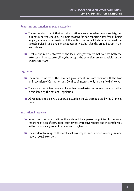#### **Reporting and sanctioning sexual extortion**

- $\blacktriangleright$  The respondents think that sexual extortion is very prevalent in our society, but it is not reported enough. The main reasons for non-reporting are: fear of being judged, shame and accusation of the victim that in fact he/she has offered the sexual service in exchange for a counter-service, but also the great distrust in the institutions;
- Ê Most of the representatives of the local self-government believe that both the extorter and the extorted, if he/she accepts the extortion, are responsible for the sexual extortion;

#### **Legislation**

- $\blacktriangleright$  The representatives of the local self-government units are familiar with the Law on Prevention of Corruption and Conflict of Interests only in their field of work;
- $\blacktriangleright$  They are not sufficiently aware of whether sexual extortion as an act of corruption is regulated by the national legislation;
- $\triangleq$  All respondents believe that sexual extortion should be regulated by the Criminal Code;

#### **Institutional response**

- $\blacktriangleright$  In each of the municipalities there should be a person appointed for internal reporting of acts of corruption, but they rarely receive reports and the employees in the municipality are not familiar with his/her function;
- **EXECT** The need for trainings at the local level was emphasized in order to recognize and report sexual extortion.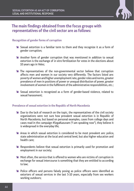

## **The main findings obtained from the focus groups with representatives of the civil sector are as follows:**

#### **Recognition of gender forms of corruption**

- Sexual extortion is a familiar term to them and they recognize it as a form of gender corruption;
- <sup>1</sup> Another form of gender corruption that was mentioned in addition to sexual extortion is the exchange of in vitro fertilization for votes in the elections about 10 years ago in Veles;
- <sup>1</sup> The representatives of the non-governmental sector believe that corruption affects men and women in our society very differently. The factors listed are: poverty of women and higher unemployment rate, gender roles and norms, greater prevalence of men in positions of power or unequal distribution of power, greater involvement of women in the fulfilment of the administrative responsibilities, etc.;
- Sexual extortion is recognized as a form of gender-based violence, related to sexual harassment;

#### **Prevalence of sexual extortion in the Republic of North Macedonia**

- $\blacktriangleright$  Due to the lack of research on the topic, the representatives of the civil society organizations were not sure how prevalent sexual extortion is in Republic of North Macedonia, but based on personal examples, cases from college days and cases read in the campaign #SegaKazuvam ("I am speaking now"), they believe it is widespread in the everyday life;
- **EXECUTE:** Areas in which sexual extortion is considered to be most prevalent are: police, state administration at the local and central level, but also higher education and health care;
- **EXECUTE:** Respondents believe that sexual extortion is primarily used for promotion and employment in our society;
- **EXECT** Most often, the service that is offered to women who are victims of corruption in exchange for sexual intercourse is something that they are entitled to according to law;
- **EXECUTE:** Police officers and persons falsely posing as police officers were identified as extorters of sexual services in the last 5-10 years, especially from sex workers working outdoors;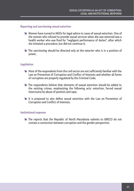#### **Reporting and sanctioning sexual extortion**

- **EX** Women have turned to NGOs for legal advice in cases of sexual extortion. One of the women who refused to provide sexual services when she was extorted was a health worker who was fired for "negligent performance of duties", after which she initiated a procedure, but did not continue it;
- Ê The sanctioning should be directed only at the extorter who is in a position of power;

#### **Legislation**

- $\blacktriangleright$  Most of the respondents from the civil sector are not sufficiently familiar with the Law on Prevention of Corruption and Conflict of Interests and whether all forms of corruption are properly regulated by the Criminal Code;
- <sup>1</sup> The respondents believe that elements of sexual extortion should be added to the existing crimes, emphasizing the following acts: extortion, forced sexual intercourse by abuse of position and rape;
- **EXECUTE:** It is proposed to also define sexual extortion with the Law on Prevention of Corruption and Conflict of Interests.

#### **Institutional response**

**EXECO** The reports that the Republic of North Macedonia submits to GRECO do not contain a connection between corruption and the gender perspective;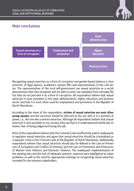

## **Main conclusions**



Recognizing sexual extortion as a form of corruption and gender-based violence is characteristic of legal experts, academics, women MPs and representatives of the civil sector. The representatives of the local self-government see sexual extortion as a social phenomenon that they recognize and are able to point out examples from everyday life, but they do not perceive it as a form of corruption. All respondents believe that sexual extortion is most prevalent in the state administration, higher education and business sector and that it is most often used for employment and promotion in the Republic of North Macedonia.

According to the views of the respondents, **victims of sexual extortion are most often young women,** and the sanctions should be directed at the one who is in a position of power, i.e., the one who commits extortion. Although all respondents believe that sexual extortion is very prevalent in our society, they say that it is underreported mainly due to shame, fear of being judged and losing the job.

Most of the respondents believe that the Criminal Code insufficiently and/or inadequately regulates sexual extortion and agree that sexual extortion should be criminalized as a separate crime in the Criminal Code of the Republic of North Macedonia. Additionally, respondents believe that sexual extortion should also be defined in the Law on Prevention of Corruption and Conflict of Interests and the Law on Prevention and Protection of Women from Violence and Domestic Violence. The inadequate implementation of the existing laws and the lack of adequate systemic response were highlighted as major problems, as well as the need for appropriate trainings on recognizing sexual extortion intended for the relevant stakeholders.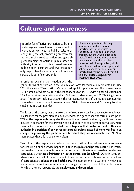## Culture and awareness

In order for effective protection to be provided against sexual extortion as an act of corruption, we need to build a culture of recogniting the act premating empaths for n order for effective protection to be provided against sexual extortion as an act of recognizing the act, promoting empathy for the victim of sexual extortion and generally condemning the abuse of public office or authority in order to obtain sexual services. Building such a culture and awareness can only be possible if we have data on how widespread this act of corruption is.

"If a woman goes to ask for help because she has faced sexual extortion, she initially turns to the policy to find a solution to the problem, but she will be laughed at there. We still do not have a culture that encompasses the fact that someone really has a problem, which the police should solve, act upon, and not be laughed at because someone extorted us because we are beautiful women." -Marta Gusar, Lawyer (Interview 25.08.2021)

In order to examine the situation with the

gender forms of corruption in the Republic of North Macedonia in more detail, in June 2021, the agency "Team Institute" conducted a public opinion survey. The survey covered 1013 women, of whom 55.8% with secondary education, 24% with higher education and 20.2% with primary education, and 58.8% living in urban areas, and 41.2% living in rural areas. The survey took into account the representativeness of the ethnic communities, so 24.6% of the respondents were Albanian, 68.4% Macedonian and 7% belong to other smaller ethnic communities.

The focus of the survey was the extortion of sexual services by public sector employees in exchange for the provision of a public service, as a gender-specific form of corruption. **78% of the respondents recognize** the extortion of sexual services by public sector employees in exchange for the provision of a public service as a form of corruption. More than half of the respondents stated that **it happens that holders of public office and authority in a position of power request sexual services instead of money/bribes in exchange for providing the public service for which they are responsible,** and 21.5% of them stated that this happens very often.

Two thirds of the respondents believe that the extortion of sexual services in exchange for receiving a public service happens **in both the public and private sector**. The institution in which the respondents believe that sexual extortion is most prevalent as a form of corruption is the **state administration (at the central and local level).** Other institutions where more than half of the respondents think that sexual extortion is present as a form of corruption are **education and health care**. The most common situations in which people in power request sexual services in exchange for the provision of the public service for which they are responsible are **employment and promotion**.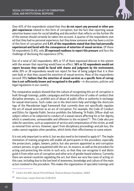

Over 63% of the respondents stated that they **do not report any personal or other people's experiences** related to this form of corruption, but the fact that reporting sexual extortion leaves room for social labelling and discomfort that reflects on the further life of the woman should certainly be taken into account. A quarter of the respondents stated that they had no personal experience, but they knew someone who has been a victim of this form of corruption and **5.4% of the respondents stated that they had personally experienced and faced with the consequences of extortion of sexual services.** Of these 54 respondents (5.4%), only **20 expressed readiness to report this pressure** and face the challenge of disclosing the experience (37%).

Out of a total of 142 respondents, 40% or 57 of them expressed distrust in the system with the answer that reporting would have no effect. **36% or 51 respondents would not report because they would be faced with shame and judgment by the environment,**  while 20% or 28 respondents would not report for fear of being judged that it is their own fault or that they caused the extortion of sexual services. Most of the respondents (around 70%) **believe that the extortion of sexual services as a specific form of corruption is not sufficiently known and recognized in the public –** in discussions, policies and legal regulations in our country.

The comparative analysis showed that the culture of recognizing this act of corruption is built through trainings, public campaigns and the introduction of codes of conduct that discipline attempts, i.e., prohibit acts of abuse of public office or authority in exchange for sexual intercourse. Such codes can in the short-term help and bridge the shortcomings of the Macedonian legal framework that currently does not specifically regulate the act of sexual extortion as an act of corruption. For example, the Code of Conduct and Ethics for Uganda Public Service prohibits the following "A Public Officer shall not subject others or be subjected to conduct of a sexual nature affecting his or her dignity, which is unwelcome, unreasonable and offensive to the recipient"**67**. This Code also provides for sanctions, such as suspension of service and compensation of the victim, as well as removal from service. However, apart from disciplinary proceedings and job loss, the codes cannot regulate other penalties, which limits their effectiveness to some extent.

It is not only important to write it, but we also need to be trained to apply it**68**. The implementation of training programs will enable all participants in the procedure, especially the prosecutors, judges, lawyers, police, but also persons appointed as anti-corruption contact persons, to get acquainted with the act, its essence, as well as the procedure for acting and protecting the victim in such acts, so that they can recognize it and distinguish it from other acts of corruption and other acts of gender-based violence. Currently, there are several countries regulating the act, but there are very few cases of acting on this case, including due to the low level of awareness, knowledge and culture of the main actors involved in the procedure. This makes the organization of specialist trainings and

**<sup>67</sup>** Cited in the IAWJ, Marval O'Farrell Mairal, Thomson Reuters Foundation, 2018:8

**<sup>68</sup>** Marta Gusar, Lawyer (Interview 25.08.2021)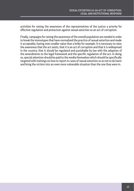activities for raising the awareness of the representatives of the justice a priority for effective regulation and protection against sexual extortion as an act of corruption.

Finally, campaigns for raising the awareness of the overall population are needed in order to break the stereotypes that have normalized the practice of sexual extortion and made it acceptable, having even smaller value than a bribe for example. It is necessary to raise the awareness that the act exists, that it is an act of corruption and that it is widespread in the country, that it should be regulated and punishable by law with the adoption of the amendments to the legal framework and the specific regulation of the act. In doing so, special attention should be paid to the media themselves which should be specifically targeted with trainings on how to report in cases of sexual extortion so as not to do harm and bring the victims into an even more vulnerable situation than the one they were in.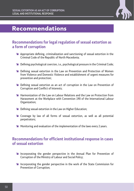

## Recommendations

## **Recommendations for legal regulation of sexual extortion as a form of corruption**

- Ê Appropriate defining, criminalization and sanctioning of sexual extortion in the Criminal Code of the Republic of North Macedonia;
- $\blacktriangleright$  Defining psychological coercion, i.e., psychological pressure in the Criminal Code;
- <sup>1</sup> Defining sexual extortion in the Law on Prevention and Protection of Women from Violence and Domestic Violence and establishment of urgent measures for prevention and protection;
- <sup>1</sup> Defining sexual extortion as an act of corruption in the Law on Prevention of Corruption and Conflict of Interests;
- Ê Harmonization of the Law on Labour Relations and the Law on Protection from Harassment at the Workplace with Convention 190 of the International Labour Organization;
- **EXECUTE:** Defining sexual extortion in the Law on Higher Education;
- <sup>1</sup> Coverage by law of all forms of sexual extortion, as well as all potential perpetrators;
- **EX** Monitoring and evaluation of the implementation of the laws every 2 years.

## **Recommendations for efficient institutional response in cases of sexual extortion**

- **Example 2 Incorporating the gender perspective in the Annual Plan for Prevention of** Corruption of the Ministry of Labour and Social Policy;
- **EX** Incorporating the gender perspective in the work of the State Commission for Prevention of Corruption;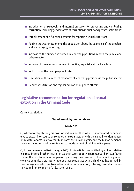- $\blacktriangleright$  Introduction of rulebooks and internal protocols for preventing and combating corruption, including gender forms of corruption in public and private institutions;
- **Establishment of a functional system for reporting sexual extortion;**
- $\blacktriangleright$  Raising the awareness among the population about the existence of the problem and encouraging reporting;
- $\blacktriangleright$  Increase of the number of women in leadership positions in both the public and private sector;
- $\blacktriangleright$  Increase of the number of women in politics, especially at the local level;
- **EXECUTE:** Reduction of the unemployment rate;
- $\blacktriangleright$  Limitation of the number of mandates of leadership positions in the public sector;
- <sup>1</sup> Gender sensitization and regular education of police officers.

## **Legislative recommendation for regulation of sexual extortion in the Criminal Code**

Current legislation:

#### **Sexual assault by position abuse**

#### **Article 189**

(1) Whosoever by abusing his position induces another, who is subordinated or dependent, to sexual intercourse or some other sexual act, or with the same intention abuses, intimidates or acts in a way that humiliates the human dignity and the human personality against another, shall be sentenced to imprisonment of minimum five years.

(2) If the crime referred to in paragraph (1) of this Article is committed by a blood relative in direct line or a brother, i.e., sister, teacher, tutor, adoptive parent, guardian, stepfather, stepmother, doctor or another person by abusing their position or by committing family violence commits a statutory rape or other sexual act with a child who has turned 14 years of age and who is entrusted to him/her for education, tutoring, care, shall be sentenced to imprisonment of at least ten years.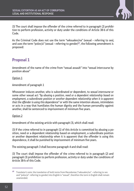

(3) The court shall impose the offender of the crime referred to in paragraph (2) prohibition to perform profession, activity or duty under the conditions of Article 38-b of this Code.

As the Criminal Code does not use the term "seksualen/na" (sexual – referring to sex), and uses the term "polov/a" (sexual – referring to gender)**69**, the following amendment is proposed:

## **Proposal 1**

Amendment of the name of the crime from "sexual assault" into "sexual intercourse by position abuse"

Option 1

Amendment of paragraph 1

Whosoever induces another, who is subordinated or dependent, to sexual intercourse or some other sexual act "by abusing a position, need or a dependent relationship based on employment, a subordinate position or another dependent relationship when it is apparent that the offender is using this dependence" or with the same intention abuses, intimidates or acts in a way that humiliates the human dignity and the human personality against another, shall be sentenced to imprisonment of minimum five years.

#### Option 2

Amendment of the existing article with paragraph (3), which shall read:

(3) If the crime referred to in paragraph (1) of this Article is committed by abusing a position, need or a dependent relationship based on employment, a subordinate position or another dependent relationship when it is apparent that the offender is using this dependence, it shall be punished by imprisonment of minimum five years.

The existing paragraph 3 shall become paragraph 4 and shall read:

(3) The court shall impose the offender of the crime referred to in paragraph (2) and paragraph (3) prohibition to perform profession, activity or duty under the conditions of Article 38-b of this Code.

**<sup>69</sup>** Translator's note: the translation of both terms from Macedonian ("seksualen/na" – referring to sex and "polov/a"- referring to gender) into English is "sexual", therefore the term in English shall remain unamended.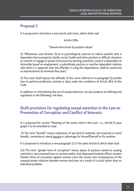## **Proposal 2**

It is proposed to introduce a new article and crime, which shall read:

#### Article 189a

#### "Sexual intercourse by position abuse"

(1) "Whosoever uses threats, force or psychological coercion to induce another who is dependent due to property, family, social, health and other position or difficult situation, to commit or engage in sexual intercourse by abusing a position, need or a dependent relationship based on employment, a subordinate position or another dependent relationship when it is apparent that the offender is using this dependence, shall be sentenced to imprisonment of minimum five years."

(2) The court shall impose the offender of the crime referred to in paragraph (2) prohibition to perform profession, activity or duty under the conditions of Article 38-b of this Code.

In addition to criminalizing the act of sexual extortion, we also propose its defining and regulation in the following civil laws:

## **Draft provisions for regulating sexual extortion in the Law on Prevention of Corruption and Conflict of Interests**

It is proposed for section "Meaning of the terms used in this Law", i.e., Article 8, paragraph 5 to be amended to read:

 (5) The term "benefit" means realization of any kind of material, non-material or social benefit, convenience, sexual service or advantage for himself/herself or for another.

It is proposed to introduce a new paragraph 12 in the same Article 8, which shall read:

(12) The term "gender form of corruption" means abuse of position aimed at causing material or non-material harm to women and/or that disproportionately affects women. Gender forms of corruption against women cover the causes and consequences of the unequal power relations between women and men as a result of a social rather than an individual problem.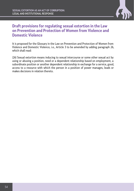

## **Draft provisions for regulating sexual extortion in the Law on Prevention and Protection of Women from Violence and Domestic Violence**

It is proposed for the Glossary in the Law on Prevention and Protection of Women from Violence and Domestic Violence, i.e., Article 3 to be amended by adding paragraph 26, which shall read:

(26) Sexual extortion means inducing to sexual intercourse or some other sexual act by using or abusing a position, need or a dependent relationship based on employment, a subordinate position or another dependent relationship in exchange for a service, good, access to a resource with which the person in a position of power manages, leads or makes decisions in relation thereto.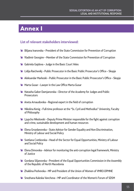## Annex I

#### **List of relevant stakeholders interviewed:**

- **Example 1** Biljana Ivanovska President of the State Commission for Prevention of Corruption
- **EX** Vladimir Georgiev Member of the State Commission for Prevention of Corruption
- $\triangle$  Gabriela Gajdova Judge in the Basic Court Veles
- **Example 2 Lidija Raicheviki Public Prosecutor in the Basic Public Prosecutor's Office Skopje**
- Ê Aleksandar Markoski Public Prosecutor in the Basic Public Prosecutor's Office Skopje
- **EXT** Marta Gusar Lawyer in the Law Office Marta Gusar
- **EX** Natasha Gaber Damjanovska Director of the Academy for Judges and Public **Prosecutors**
- $\triangle$  Aneta Arnaudovska Regional expert in the field of corruption
- **EX** Nikolina Kenig Full-time professor at the "Ss. Cyril and Methodius" University, Faculty of Philosophy
- $\blacktriangleright$  Ljupcho Nikolovski Deputy Prime Minister responsible for the fight against corruption and crime, sustainable development and human resources
- $\blacktriangleright$  Elena Grozdanovska State Advisor for Gender Equality and Non-Discrimination, Ministry of Labour and Social Policy
- **Example 2 Svetlana Cvetkovska Head of the Sector for Equal Opportunities, Ministry of Labour** and Social Policy
- $\triangleq$  Elena Dimovska Advisor for monitoring the anti-corruption legal framework, Ministry of Justice
- $\blacktriangleright$  Gordana Siljanovska President of the Equal Opportunities Commission in the Assembly of the Republic of North Macedonia
- Ê Zhaklina Peshevska MP and President of the Union of Women of VMRO-DPMNE
- Ê Snezhana Kaleska Vancheva MP and Coordinator of the Women's Forum of SDSM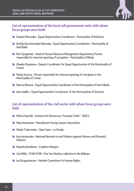

#### **List of representatives of the local self-government units with whom focus groups were held:**

- **EX** Suzana Petrovska Equal Opportunities Coordinator Municipality of Delchevo
- **Emilija Gjurchinovska Matevska Equal Opportunities Coordinator Municipality of** Gazi Baba
- **EX** Kire Gjorgievski Head of Human Resource Management Department/ Person responsible for internal reporting of corruption – Municipality of Bitola
- **Example 2 Ubavka Stojanova Deputy Coordinator for Equal Opportunities of the Municipality of** Centar
- $\blacktriangleright$  Marija Goceva Person responsible for internal reporting of corruption in the Municipality of Centar
- $\blacktriangleright$  Slavica Dimova Equal Opportunities Coordinator of the Municipality of Sveti Nikole
- <sup>1</sup> Azra Sadiku Equal Opportunities Coordinator of the Municipality of Gostivar

#### **List of representatives of the civil sector with whom focus groups were held:**

- **EXAMPLE 20 Misha Popoviki Institute for Democracy "Societas Civilis" IDSCS**
- **EXA** Maja Atanasova Macedonian Young Lawyers Association
- **E Marija Todorovska Open Gate La Strada**
- <sup>1</sup> Ana Avramoska National Network to end Violence against Women and Domestic Violence
- **EXECUTE:** Natasha Boshkova Coalition Margins
- $\triangleq$  Lila Milikj STAR-STAR first Sex Workers collective in the Balkans
- $\triangle$  Ina Dzugumanova Helsinki Committee for Human Rights